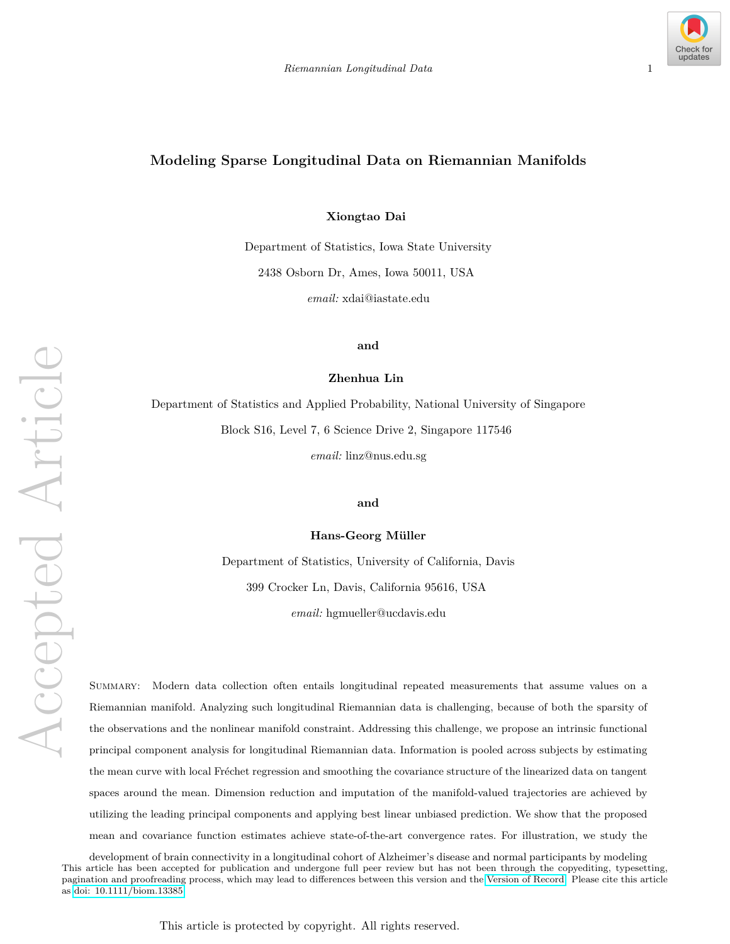

# **Modeling Sparse Longitudinal Data on Riemannian Manifolds**

**Xiongtao Dai**

Department of Statistics, Iowa State University 2438 Osborn Dr, Ames, Iowa 50011, USA *email:* xdai@iastate.edu

**and**

**Zhenhua Lin**

Department of Statistics and Applied Probability, National University of Singapore Block S16, Level 7, 6 Science Drive 2, Singapore 117546 *email:* linz@nus.edu.sg

**and**

**Hans-Georg Müller** 

Department of Statistics, University of California, Davis 399 Crocker Ln, Davis, California 95616, USA *email:* hgmueller@ucdavis.edu

Summary: Modern data collection often entails longitudinal repeated measurements that assume values on a Riemannian manifold. Analyzing such longitudinal Riemannian data is challenging, because of both the sparsity of the observations and the nonlinear manifold constraint. Addressing this challenge, we propose an intrinsic functional principal component analysis for longitudinal Riemannian data. Information is pooled across subjects by estimating the mean curve with local Fréchet regression and smoothing the covariance structure of the linearized data on tangent spaces around the mean. Dimension reduction and imputation of the manifold-valued trajectories are achieved by utilizing the leading principal components and applying best linear unbiased prediction. We show that the proposed mean and covariance function estimates achieve state-of-the-art convergence rates. For illustration, we study the

development of brain connectivity in a longitudinal cohort of Alzheimer's disease and normal participants by modeling This article has been accepted for publication and undergone full peer review but has not been through the copyediting, typesetting, pagination and proofreading process, which may lead to differences between this version and the [Version of Record.](https://doi.org/10.1111/biom.13385) Please cite this article as [doi: 10.1111/biom.13385](https://doi.org/10.1111/biom.13385)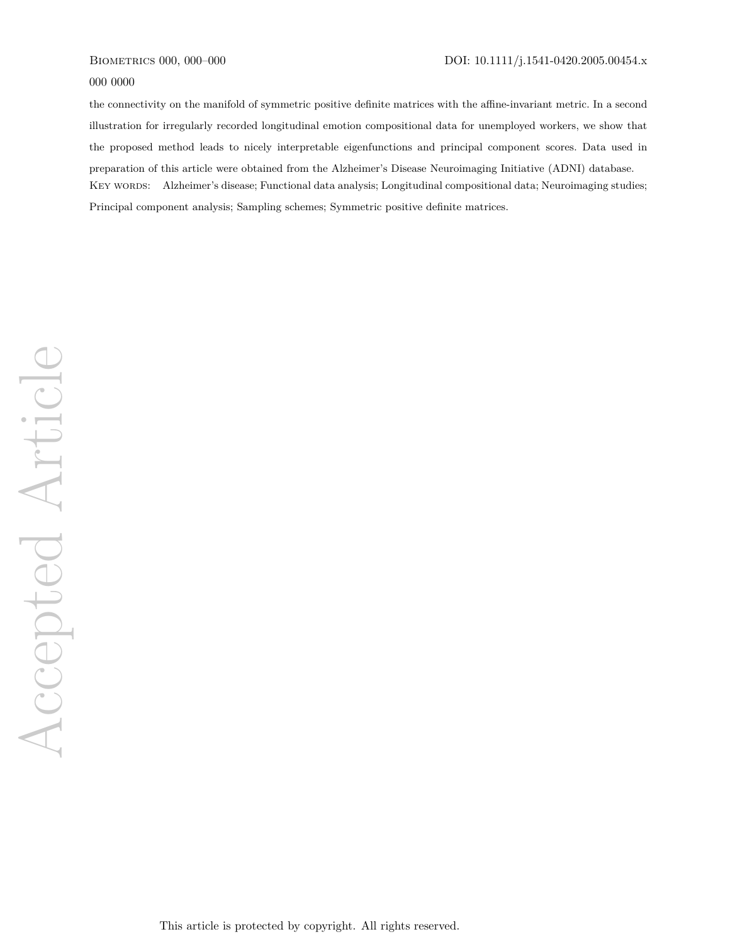#### 000 0000

the connectivity on the manifold of symmetric positive definite matrices with the affine-invariant metric. In a second illustration for irregularly recorded longitudinal emotion compositional data for unemployed workers, we show that the proposed method leads to nicely interpretable eigenfunctions and principal component scores. Data used in preparation of this article were obtained from the Alzheimer's Disease Neuroimaging Initiative (ADNI) database. KEY WORDS: Alzheimer's disease; Functional data analysis; Longitudinal compositional data; Neuroimaging studies; Principal component analysis; Sampling schemes; Symmetric positive definite matrices.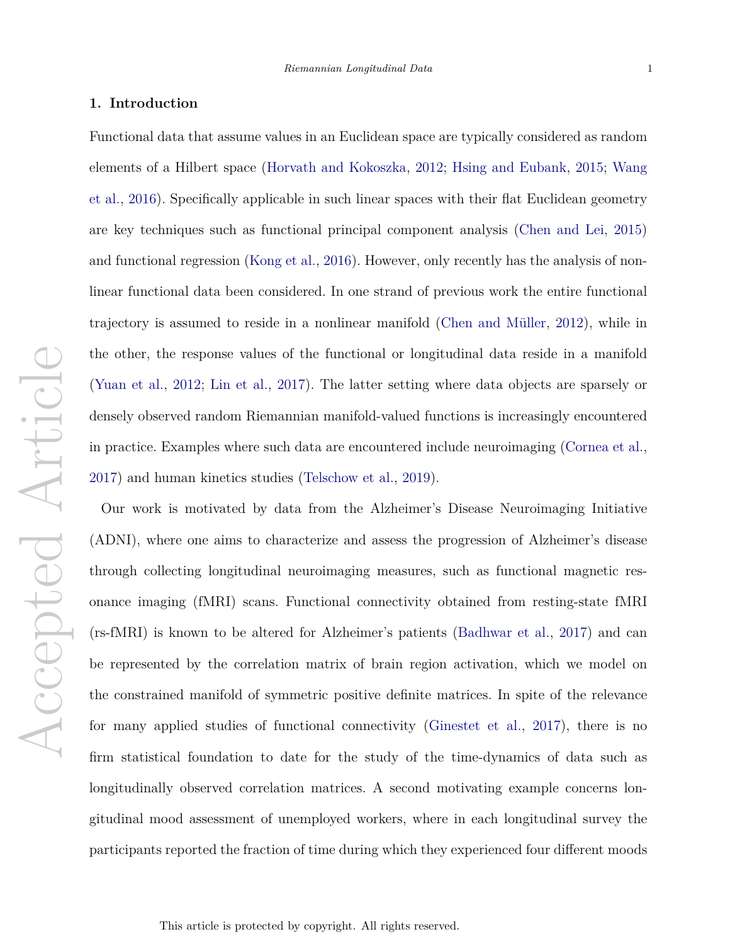#### **1. Introduction**

Functional data that assume values in an Euclidean space are typically considered as random elements of a Hilbert space (Horvath and Kokoszka, 2012; Hsing and Eubank, 2015; Wang et al., 2016). Specifically applicable in such linear spaces with their flat Euclidean geometry are key techniques such as functional principal component analysis (Chen and Lei, 2015) and functional regression (Kong et al., 2016). However, only recently has the analysis of nonlinear functional data been considered. In one strand of previous work the entire functional trajectory is assumed to reside in a nonlinear manifold (Chen and M¨uller, 2012), while in the other, the response values of the functional or longitudinal data reside in a manifold (Yuan et al., 2012; Lin et al., 2017). The latter setting where data objects are sparsely or densely observed random Riemannian manifold-valued functions is increasingly encountered in practice. Examples where such data are encountered include neuroimaging (Cornea et al., 2017) and human kinetics studies (Telschow et al., 2019).

Our work is motivated by data from the Alzheimer's Disease Neuroimaging Initiative (ADNI), where one aims to characterize and assess the progression of Alzheimer's disease through collecting longitudinal neuroimaging measures, such as functional magnetic resonance imaging (fMRI) scans. Functional connectivity obtained from resting-state fMRI (rs-fMRI) is known to be altered for Alzheimer's patients (Badhwar et al., 2017) and can be represented by the correlation matrix of brain region activation, which we model on the constrained manifold of symmetric positive definite matrices. In spite of the relevance for many applied studies of functional connectivity (Ginestet et al., 2017), there is no firm statistical foundation to date for the study of the time-dynamics of data such as longitudinally observed correlation matrices. A second motivating example concerns longitudinal mood assessment of unemployed workers, where in each longitudinal survey the participants reported the fraction of time during which they experienced four different moods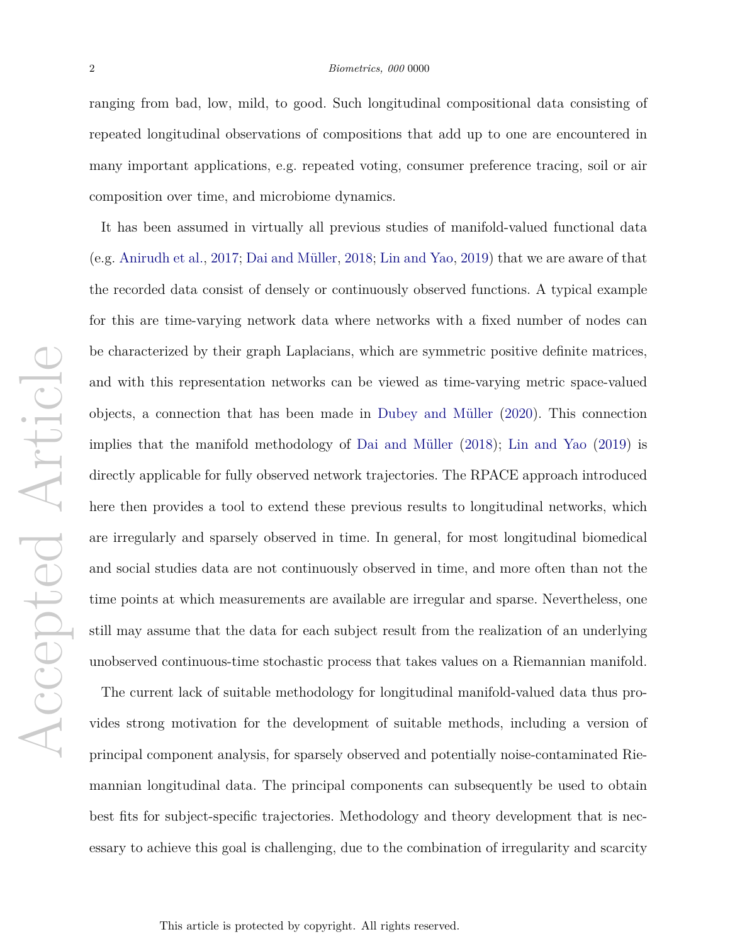ranging from bad, low, mild, to good. Such longitudinal compositional data consisting of repeated longitudinal observations of compositions that add up to one are encountered in many important applications, e.g. repeated voting, consumer preference tracing, soil or air composition over time, and microbiome dynamics.

It has been assumed in virtually all previous studies of manifold-valued functional data (e.g. Anirudh et al., 2017; Dai and Müller, 2018; Lin and Yao, 2019) that we are aware of that the recorded data consist of densely or continuously observed functions. A typical example for this are time-varying network data where networks with a fixed number of nodes can be characterized by their graph Laplacians, which are symmetric positive definite matrices, and with this representation networks can be viewed as time-varying metric space-valued objects, a connection that has been made in Dubey and M¨uller (2020). This connection implies that the manifold methodology of Dai and Müller  $(2018)$ ; Lin and Yao  $(2019)$  is directly applicable for fully observed network trajectories. The RPACE approach introduced here then provides a tool to extend these previous results to longitudinal networks, which are irregularly and sparsely observed in time. In general, for most longitudinal biomedical and social studies data are not continuously observed in time, and more often than not the time points at which measurements are available are irregular and sparse. Nevertheless, one still may assume that the data for each subject result from the realization of an underlying unobserved continuous-time stochastic process that takes values on a Riemannian manifold.

The current lack of suitable methodology for longitudinal manifold-valued data thus provides strong motivation for the development of suitable methods, including a version of principal component analysis, for sparsely observed and potentially noise-contaminated Riemannian longitudinal data. The principal components can subsequently be used to obtain best fits for subject-specific trajectories. Methodology and theory development that is necessary to achieve this goal is challenging, due to the combination of irregularity and scarcity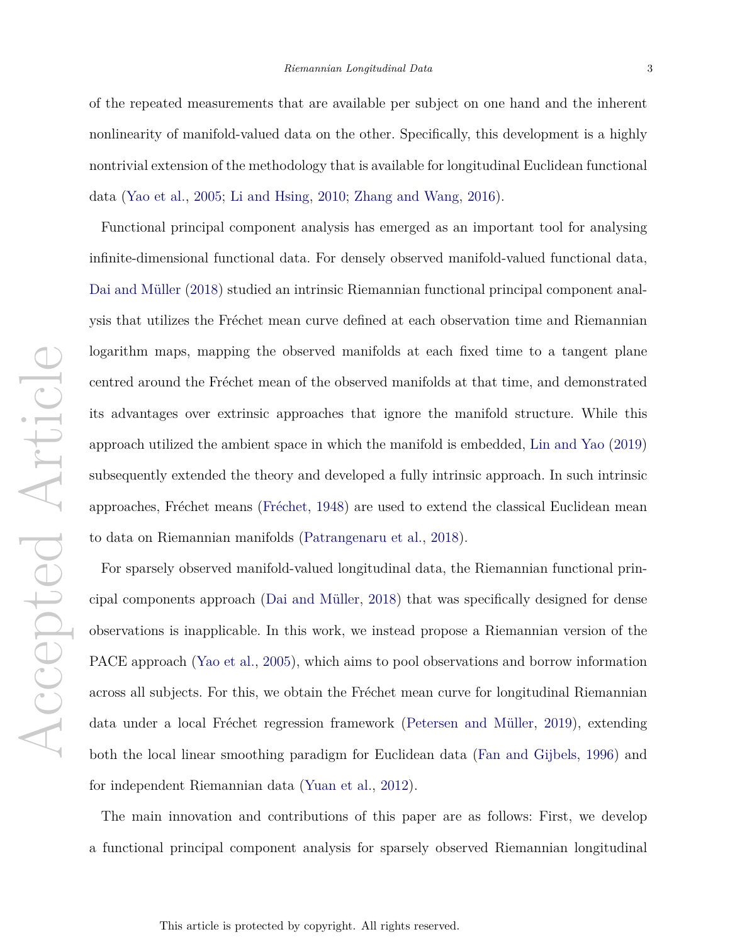of the repeated measurements that are available per subject on one hand and the inherent nonlinearity of manifold-valued data on the other. Specifically, this development is a highly nontrivial extension of the methodology that is available for longitudinal Euclidean functional data (Yao et al., 2005; Li and Hsing, 2010; Zhang and Wang, 2016).

Functional principal component analysis has emerged as an important tool for analysing infinite-dimensional functional data. For densely observed manifold-valued functional data, Dai and Müller (2018) studied an intrinsic Riemannian functional principal component analysis that utilizes the Fréchet mean curve defined at each observation time and Riemannian logarithm maps, mapping the observed manifolds at each fixed time to a tangent plane centred around the Fréchet mean of the observed manifolds at that time, and demonstrated its advantages over extrinsic approaches that ignore the manifold structure. While this approach utilized the ambient space in which the manifold is embedded, Lin and Yao (2019) subsequently extended the theory and developed a fully intrinsic approach. In such intrinsic approaches, Fréchet means (Fréchet, 1948) are used to extend the classical Euclidean mean to data on Riemannian manifolds (Patrangenaru et al., 2018).

For sparsely observed manifold-valued longitudinal data, the Riemannian functional principal components approach (Dai and M¨uller, 2018) that was specifically designed for dense observations is inapplicable. In this work, we instead propose a Riemannian version of the PACE approach (Yao et al., 2005), which aims to pool observations and borrow information across all subjects. For this, we obtain the Fréchet mean curve for longitudinal Riemannian data under a local Fréchet regression framework (Petersen and Müller, 2019), extending both the local linear smoothing paradigm for Euclidean data (Fan and Gijbels, 1996) and for independent Riemannian data (Yuan et al., 2012).

The main innovation and contributions of this paper are as follows: First, we develop a functional principal component analysis for sparsely observed Riemannian longitudinal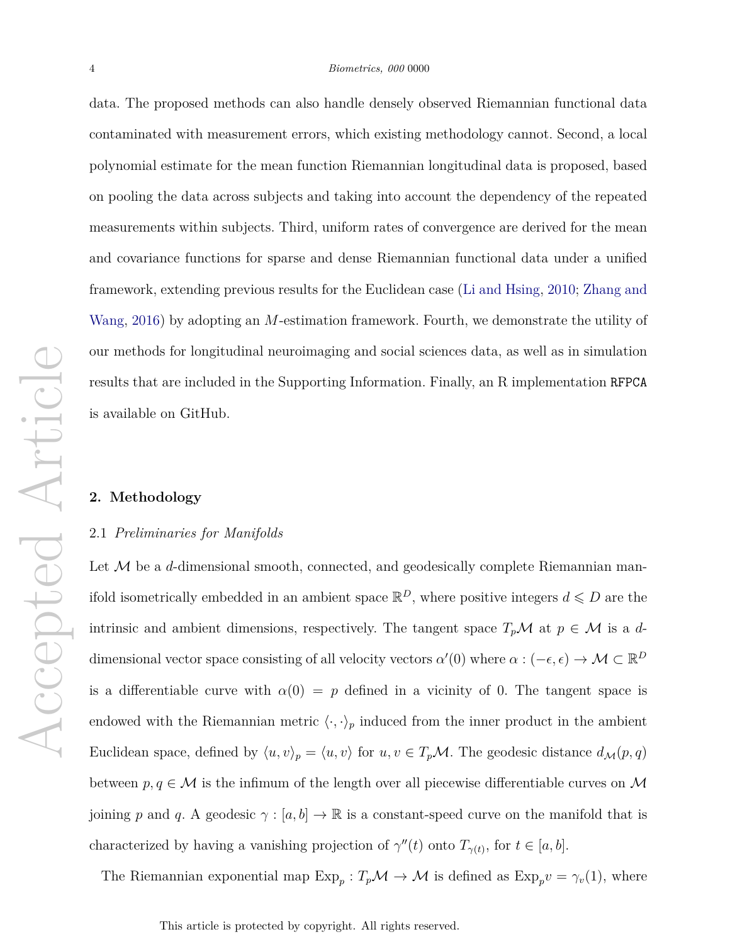data. The proposed methods can also handle densely observed Riemannian functional data contaminated with measurement errors, which existing methodology cannot. Second, a local polynomial estimate for the mean function Riemannian longitudinal data is proposed, based on pooling the data across subjects and taking into account the dependency of the repeated measurements within subjects. Third, uniform rates of convergence are derived for the mean and covariance functions for sparse and dense Riemannian functional data under a unified framework, extending previous results for the Euclidean case (Li and Hsing, 2010; Zhang and Wang, 2016) by adopting an *M*-estimation framework. Fourth, we demonstrate the utility of our methods for longitudinal neuroimaging and social sciences data, as well as in simulation results that are included in the Supporting Information. Finally, an R implementation RFPCA is available on GitHub.

## **2. Methodology**

#### 2.1 *Preliminaries for Manifolds*

Let M be a *d*-dimensional smooth, connected, and geodesically complete Riemannian manifold isometrically embedded in an ambient space  $\mathbb{R}^D$ , where positive integers  $d \leqslant D$  are the intrinsic and ambient dimensions, respectively. The tangent space  $T_p\mathcal{M}$  at  $p \in \mathcal{M}$  is a *d*dimensional vector space consisting of all velocity vectors  $\alpha'(0)$  where  $\alpha: (-\epsilon, \epsilon) \to \mathcal{M} \subset \mathbb{R}^D$ is a differentiable curve with  $\alpha(0) = p$  defined in a vicinity of 0. The tangent space is endowed with the Riemannian metric  $\langle \cdot, \cdot \rangle_p$  induced from the inner product in the ambient Euclidean space, defined by  $\langle u, v \rangle_p = \langle u, v \rangle$  for  $u, v \in T_pM$ . The geodesic distance  $d_M(p, q)$ between  $p, q \in \mathcal{M}$  is the infimum of the length over all piecewise differentiable curves on  $\mathcal{M}$ joining *p* and *q*. A geodesic  $\gamma : [a, b] \to \mathbb{R}$  is a constant-speed curve on the manifold that is characterized by having a vanishing projection of  $\gamma''(t)$  onto  $T_{\gamma(t)}$ , for  $t \in [a, b]$ .

The Riemannian exponential map  $Exp_p$ :  $T_p\mathcal{M} \to \mathcal{M}$  is defined as  $Exp_pv = \gamma_v(1)$ , where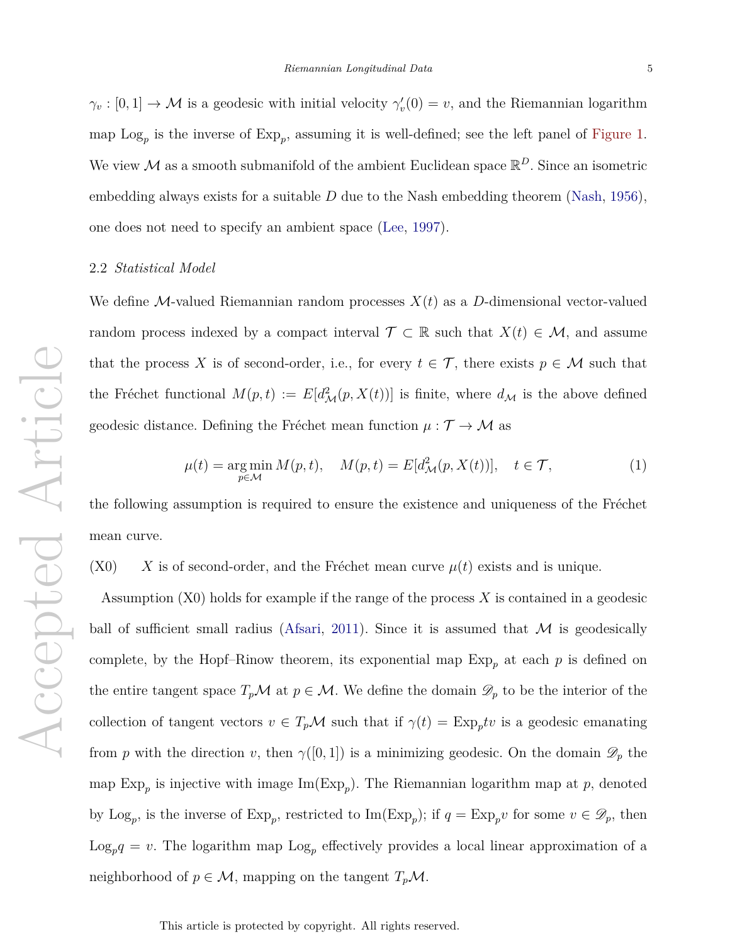$\gamma_v : [0,1] \to \mathcal{M}$  is a geodesic with initial velocity  $\gamma'_v(0) = v$ , and the Riemannian logarithm map  $\text{Log}_p$  is the inverse of  $\text{Exp}_p$ , assuming it is well-defined; see the left panel of Figure 1. We view  $\mathcal M$  as a smooth submanifold of the ambient Euclidean space  $\mathbb R^D$ . Since an isometric embedding always exists for a suitable *D* due to the Nash embedding theorem (Nash, 1956), one does not need to specify an ambient space (Lee, 1997).

# 2.2 *Statistical Model*

We define M-valued Riemannian random processes *X*(*t*) as a *D*-dimensional vector-valued random process indexed by a compact interval  $\mathcal{T} \subset \mathbb{R}$  such that  $X(t) \in \mathcal{M}$ , and assume that the process X is of second-order, i.e., for every  $t \in \mathcal{T}$ , there exists  $p \in \mathcal{M}$  such that the Fréchet functional  $M(p, t) := E[d_{\mathcal{M}}^2(p, X(t))]$  is finite, where  $d_{\mathcal{M}}$  is the above defined geodesic distance. Defining the Fréchet mean function  $\mu : \mathcal{T} \to \mathcal{M}$  as

$$
\mu(t) = \underset{p \in \mathcal{M}}{\arg \min} \, M(p, t), \quad M(p, t) = E[d_{\mathcal{M}}^2(p, X(t))], \quad t \in \mathcal{T}, \tag{1}
$$

the following assumption is required to ensure the existence and uniqueness of the Fréchet mean curve.

 $(X0)$  *X* is of second-order, and the Fréchet mean curve  $\mu(t)$  exists and is unique.

Assumption (X0) holds for example if the range of the process *X* is contained in a geodesic ball of sufficient small radius (Afsari, 2011). Since it is assumed that  $M$  is geodesically complete, by the Hopf–Rinow theorem, its exponential map  $Exp_p$  at each  $p$  is defined on the entire tangent space  $T_p \mathcal{M}$  at  $p \in \mathcal{M}$ . We define the domain  $\mathscr{D}_p$  to be the interior of the collection of tangent vectors  $v \in T_p \mathcal{M}$  such that if  $\gamma(t) = \text{Exp}_p tv$  is a geodesic emanating from *p* with the direction *v*, then  $\gamma([0,1])$  is a minimizing geodesic. On the domain  $\mathscr{D}_p$  the map  $Exp_p$  is injective with image  $Im(Exp_p)$ . The Riemannian logarithm map at  $p$ , denoted by  $\text{Log}_p$ , is the inverse of  $\text{Exp}_p$ , restricted to  $\text{Im}(\text{Exp}_p)$ ; if  $q = \text{Exp}_p v$  for some  $v \in \mathscr{D}_p$ , then  $\text{Log}_p q = v$ . The logarithm map  $\text{Log}_p$  effectively provides a local linear approximation of a neighborhood of  $p \in \mathcal{M}$ , mapping on the tangent  $T_p\mathcal{M}$ .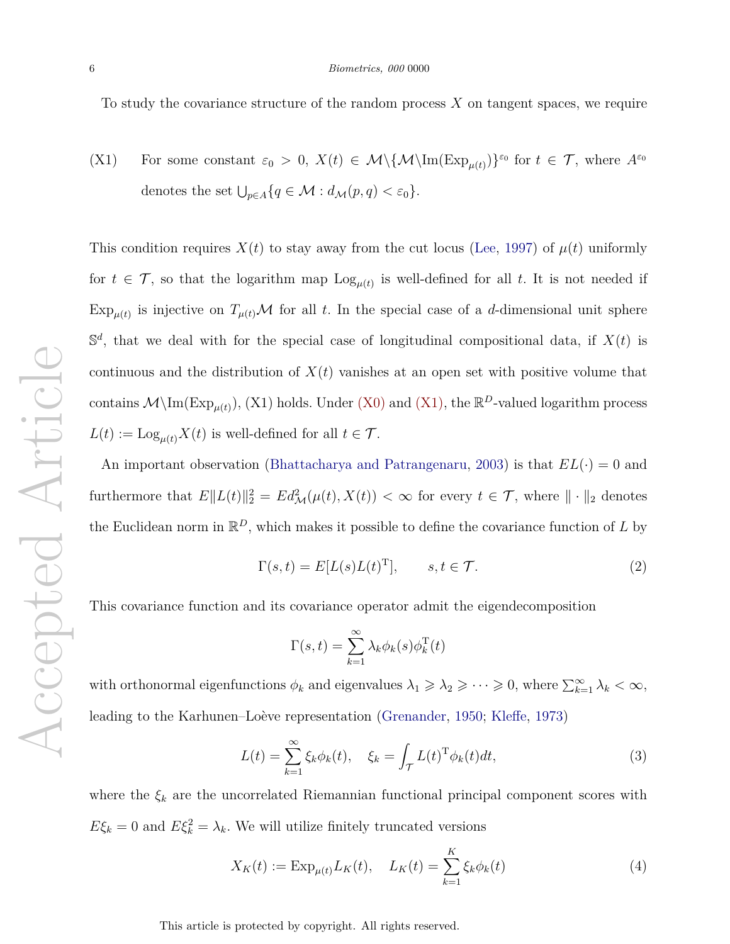To study the covariance structure of the random process *X* on tangent spaces, we require

(X1) For some constant  $\varepsilon_0 > 0$ ,  $X(t) \in \mathcal{M}\setminus{\{\mathcal{M}\setminus\{\text{Im}(\text{Exp}_{\mu(t)})\}}^{\varepsilon_0}}$  for  $t \in \mathcal{T}$ , where  $A^{\varepsilon_0}$ denotes the set  $\bigcup_{p\in A} \{q \in \mathcal{M} : d_{\mathcal{M}}(p,q) < \varepsilon_0\}.$ 

This condition requires  $X(t)$  to stay away from the cut locus (Lee, 1997) of  $\mu(t)$  uniformly for  $t \in \mathcal{T}$ , so that the logarithm map  $\text{Log}_{\mu(t)}$  is well-defined for all t. It is not needed if  $\exp_{\mu(t)}$  is injective on  $T_{\mu(t)}\mathcal{M}$  for all t. In the special case of a d-dimensional unit sphere  $\mathbb{S}^d$ , that we deal with for the special case of longitudinal compositional data, if  $X(t)$  is continuous and the distribution of  $X(t)$  vanishes at an open set with positive volume that contains  $\mathcal{M}\setminus\text{Im}(\text{Exp}_{\mu(t)})$ , (X1) holds. Under (X0) and (X1), the  $\mathbb{R}^D$ -valued logarithm process  $L(t) := \text{Log}_{\mu(t)} X(t)$  is well-defined for all  $t \in \mathcal{T}$ .

An important observation (Bhattacharya and Patrangenaru, 2003) is that  $EL(\cdot) = 0$  and furthermore that  $E\|L(t)\|_2^2 = Ed_{\mathcal{M}}^2(\mu(t), X(t)) < \infty$  for every  $t \in \mathcal{T}$ , where  $\|\cdot\|_2$  denotes the Euclidean norm in  $\mathbb{R}^D$ , which makes it possible to define the covariance function of *L* by

$$
\Gamma(s,t) = E[L(s)L(t)^{\mathrm{T}}], \qquad s, t \in \mathcal{T}.
$$
 (2)

This covariance function and its covariance operator admit the eigendecomposition

$$
\Gamma(s,t) = \sum_{k=1}^{\infty} \lambda_k \phi_k(s) \phi_k^{\mathrm{T}}(t)
$$

with orthonormal eigenfunctions  $\phi_k$  and eigenvalues  $\lambda_1 \geq \lambda_2 \geq \cdots \geq 0$ , where  $\sum_{k=1}^{\infty} \lambda_k < \infty$ , leading to the Karhunen–Loève representation (Grenander, 1950; Kleffe, 1973)

$$
L(t) = \sum_{k=1}^{\infty} \xi_k \phi_k(t), \quad \xi_k = \int_{\mathcal{T}} L(t)^{\mathrm{T}} \phi_k(t) dt,
$$
\n(3)

where the  $\xi_k$  are the uncorrelated Riemannian functional principal component scores with  $E\xi_k = 0$  and  $E\xi_k^2 = \lambda_k$ . We will utilize finitely truncated versions

$$
X_K(t) := \exp_{\mu(t)} L_K(t), \quad L_K(t) = \sum_{k=1}^K \xi_k \phi_k(t)
$$
 (4)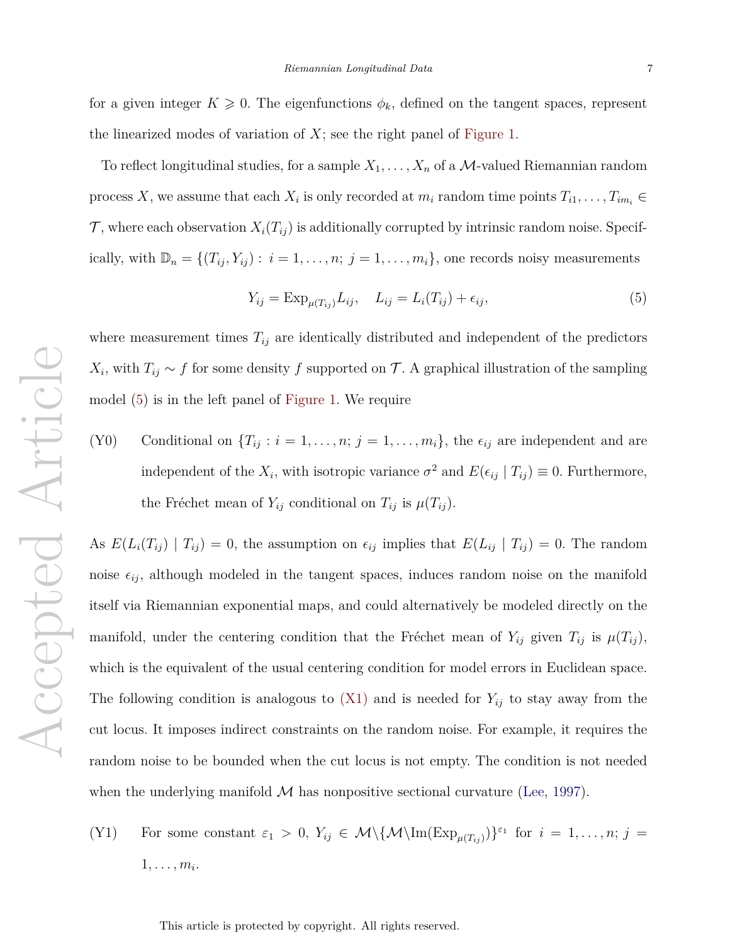To reflect longitudinal studies, for a sample  $X_1, \ldots, X_n$  of a  $M$ -valued Riemannian random process *X*, we assume that each  $X_i$  is only recorded at  $m_i$  random time points  $T_{i1}, \ldots, T_{im_i} \in$  $\mathcal{T}$ , where each observation  $X_i(T_{ij})$  is additionally corrupted by intrinsic random noise. Specifically, with  $\mathbb{D}_n = \{(T_{ij}, Y_{ij}) : i = 1, \ldots, n; j = 1, \ldots, m_i\}$ , one records noisy measurements

$$
Y_{ij} = \operatorname{Exp}_{\mu(T_{ij})} L_{ij}, \quad L_{ij} = L_i(T_{ij}) + \epsilon_{ij},\tag{5}
$$

where measurement times  $T_{ij}$  are identically distributed and independent of the predictors  $X_i$ , with  $T_{ij} \sim f$  for some density  $f$  supported on  $\mathcal{T}$ . A graphical illustration of the sampling model (5) is in the left panel of Figure 1. We require

(Y0) Conditional on  ${T_{ij} : i = 1, ..., n; j = 1, ..., m_i}$ , the  $\epsilon_{ij}$  are independent and are independent of the  $X_i$ , with isotropic variance  $\sigma^2$  and  $E(\epsilon_{ij} | T_{ij}) \equiv 0$ . Furthermore, the Fréchet mean of  $Y_{ij}$  conditional on  $T_{ij}$  is  $\mu(T_{ij})$ .

As  $E(L_i(T_{ij}) | T_{ij}) = 0$ , the assumption on  $\epsilon_{ij}$  implies that  $E(L_{ij} | T_{ij}) = 0$ . The random noise  $\epsilon_{ij}$ , although modeled in the tangent spaces, induces random noise on the manifold itself via Riemannian exponential maps, and could alternatively be modeled directly on the manifold, under the centering condition that the Fréchet mean of  $Y_{ij}$  given  $T_{ij}$  is  $\mu(T_{ij})$ , which is the equivalent of the usual centering condition for model errors in Euclidean space. The following condition is analogous to  $(X1)$  and is needed for  $Y_{ij}$  to stay away from the cut locus. It imposes indirect constraints on the random noise. For example, it requires the random noise to be bounded when the cut locus is not empty. The condition is not needed when the underlying manifold  $\mathcal M$  has nonpositive sectional curvature (Lee, 1997).

(Y1) For some constant  $\varepsilon_1 > 0$ ,  $Y_{ij} \in \mathcal{M}\setminus\{\mathcal{M}\setminus\{\text{Im}(\text{Exp}_{\mu(T_{ij})})\}^{\varepsilon_1} \text{ for } i = 1,\ldots,n; j =$  $1, \ldots, m_i.$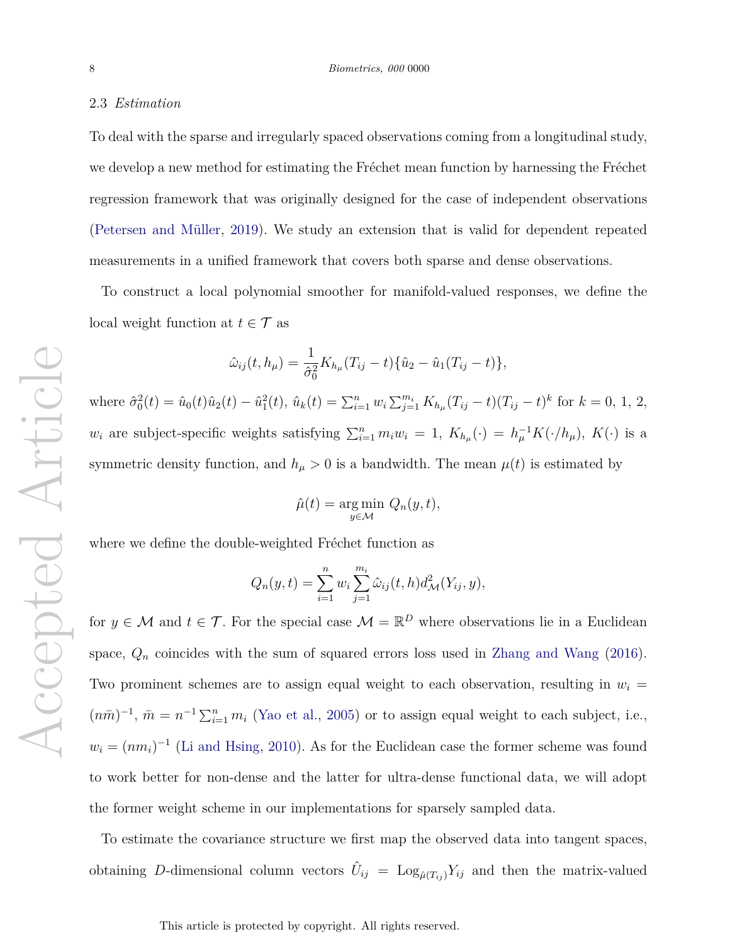#### 2.3 *Estimation*

To deal with the sparse and irregularly spaced observations coming from a longitudinal study, we develop a new method for estimating the Fréchet mean function by harnessing the Fréchet regression framework that was originally designed for the case of independent observations (Petersen and M¨uller, 2019). We study an extension that is valid for dependent repeated measurements in a unified framework that covers both sparse and dense observations.

To construct a local polynomial smoother for manifold-valued responses, we define the local weight function at  $t \in \mathcal{T}$  as

$$
\hat{\omega}_{ij}(t, h_{\mu}) = \frac{1}{\hat{\sigma}_0^2} K_{h_{\mu}} (T_{ij} - t) \{\hat{u}_2 - \hat{u}_1 (T_{ij} - t)\},\
$$

where  $\hat{\sigma}_0^2(t) = \hat{u}_0(t)\hat{u}_2(t) - \hat{u}_1^2(t)$ ,  $\hat{u}_k(t) = \sum_{i=1}^n w_i \sum_{j=1}^{m_i} K_{h_\mu}(T_{ij} - t)(T_{ij} - t)^k$  for  $k = 0, 1, 2,$ *w*<sub>*i*</sub> are subject-specific weights satisfying  $\sum_{i=1}^{n} m_i w_i = 1$ ,  $K_{h\mu}(\cdot) = h_{\mu}^{-1} K(\cdot/h_{\mu})$ ,  $K(\cdot)$  is a symmetric density function, and  $h_{\mu} > 0$  is a bandwidth. The mean  $\mu(t)$  is estimated by

$$
\hat{\mu}(t) = \underset{y \in \mathcal{M}}{\text{arg min }} Q_n(y, t),
$$

where we define the double-weighted Fréchet function as

$$
Q_n(y, t) = \sum_{i=1}^n w_i \sum_{j=1}^{m_i} \hat{\omega}_{ij}(t, h) d^2_{\mathcal{M}}(Y_{ij}, y),
$$

for  $y \in \mathcal{M}$  and  $t \in \mathcal{T}$ . For the special case  $\mathcal{M} = \mathbb{R}^D$  where observations lie in a Euclidean space,  $Q_n$  coincides with the sum of squared errors loss used in Zhang and Wang  $(2016)$ . Two prominent schemes are to assign equal weight to each observation, resulting in  $w_i =$  $(n\bar{m})^{-1}$ ,  $\bar{m} = n^{-1} \sum_{i=1}^{n} m_i$  (Yao et al., 2005) or to assign equal weight to each subject, i.e.,  $w_i = (nm_i)^{-1}$  (Li and Hsing, 2010). As for the Euclidean case the former scheme was found to work better for non-dense and the latter for ultra-dense functional data, we will adopt the former weight scheme in our implementations for sparsely sampled data.

To estimate the covariance structure we first map the observed data into tangent spaces, obtaining D-dimensional column vectors  $\hat{U}_{ij} = \text{Log}_{\hat{\mu}(T_{ij})} Y_{ij}$  and then the matrix-valued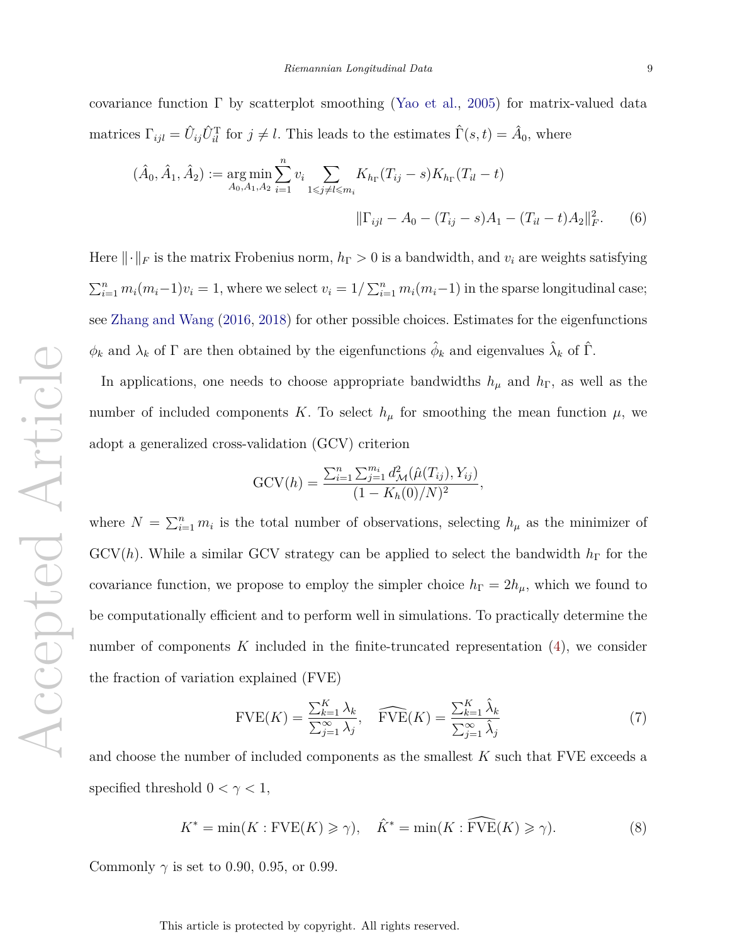covariance function  $\Gamma$  by scatterplot smoothing (Yao et al., 2005) for matrix-valued data matrices  $\Gamma_{ijl} = \hat{U}_{ij}\hat{U}_{il}^{\mathrm{T}}$  for  $j \neq l$ . This leads to the estimates  $\hat{\Gamma}(s,t) = \hat{A}_0$ , where

$$
(\hat{A}_0, \hat{A}_1, \hat{A}_2) := \underset{A_0, A_1, A_2}{\arg \min} \sum_{i=1}^n v_i \sum_{1 \le j \ne l \le m_i} K_{h_{\Gamma}}(T_{ij} - s) K_{h_{\Gamma}}(T_{il} - t)
$$

$$
\|\Gamma_{ijl} - A_0 - (T_{ij} - s)A_1 - (T_{il} - t)A_2\|_F^2. \tag{6}
$$

Here  $\|\cdot\|_F$  is the matrix Frobenius norm,  $h_\Gamma > 0$  is a bandwidth, and  $v_i$  are weights satisfying  $\sum_{i=1}^{n} m_i(m_i-1)v_i = 1$ , where we select  $v_i = 1/\sum_{i=1}^{n} m_i(m_i-1)$  in the sparse longitudinal case; see Zhang and Wang (2016, 2018) for other possible choices. Estimates for the eigenfunctions  $\phi_k$  and  $\lambda_k$  of  $\Gamma$  are then obtained by the eigenfunctions  $\hat{\phi}_k$  and eigenvalues  $\hat{\lambda}_k$  of  $\hat{\Gamma}$ .

In applications, one needs to choose appropriate bandwidths  $h_{\mu}$  and  $h_{\Gamma}$ , as well as the number of included components *K*. To select  $h<sub>\mu</sub>$  for smoothing the mean function  $\mu$ , we adopt a generalized cross-validation (GCV) criterion

$$
GCV(h) = \frac{\sum_{i=1}^{n} \sum_{j=1}^{m_i} d_{\mathcal{M}}^2(\hat{\mu}(T_{ij}), Y_{ij})}{(1 - K_h(0)/N)^2},
$$

where  $N = \sum_{i=1}^{n} m_i$  is the total number of observations, selecting  $h_{\mu}$  as the minimizer of GCV(*h*). While a similar GCV strategy can be applied to select the bandwidth *h*<sup>Γ</sup> for the covariance function, we propose to employ the simpler choice  $h_{\Gamma} = 2h_{\mu}$ , which we found to be computationally efficient and to perform well in simulations. To practically determine the number of components  $K$  included in the finite-truncated representation  $(4)$ , we consider the fraction of variation explained (FVE)

$$
\text{FVE}(K) = \frac{\sum_{k=1}^{K} \lambda_k}{\sum_{j=1}^{\infty} \lambda_j}, \quad \widehat{\text{FVE}}(K) = \frac{\sum_{k=1}^{K} \hat{\lambda}_k}{\sum_{j=1}^{\infty} \hat{\lambda}_j} \tag{7}
$$

and choose the number of included components as the smallest *K* such that FVE exceeds a specified threshold  $0 < \gamma < 1$ ,

$$
K^* = \min(K : \text{FVE}(K) \ge \gamma), \quad \hat{K}^* = \min(K : \widehat{\text{FVE}}(K) \ge \gamma). \tag{8}
$$

Commonly  $\gamma$  is set to 0.90, 0.95, or 0.99.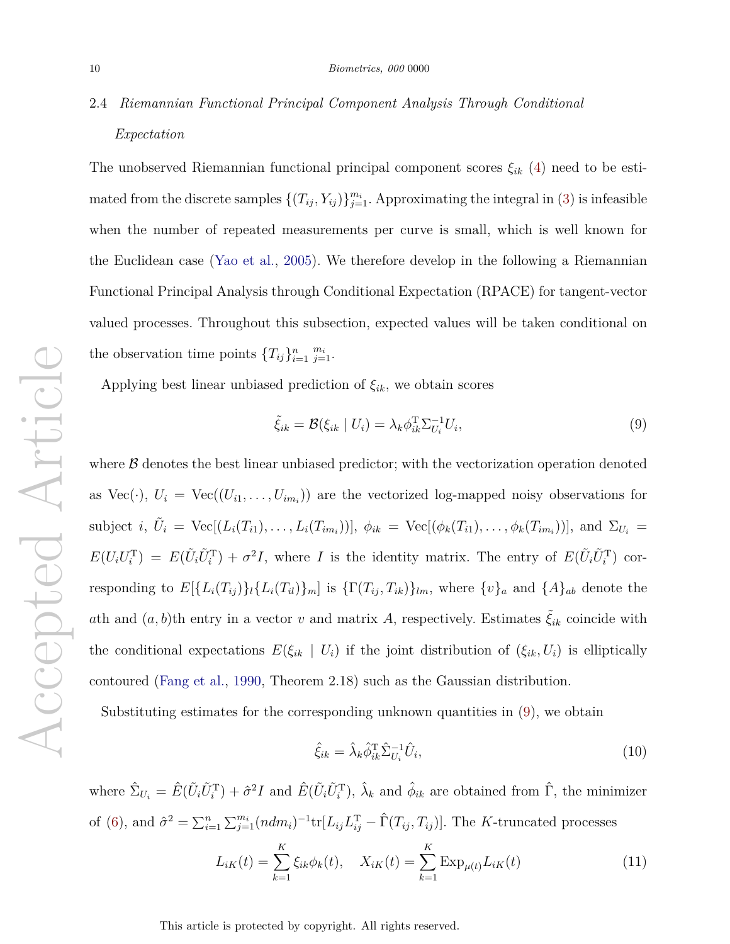# 2.4 *Riemannian Functional Principal Component Analysis Through Conditional Expectation*

The unobserved Riemannian functional principal component scores *ξik* (4) need to be estimated from the discrete samples  $\{(T_{ij}, Y_{ij})\}_{j=1}^{m_i}$ . Approximating the integral in (3) is infeasible when the number of repeated measurements per curve is small, which is well known for the Euclidean case (Yao et al., 2005). We therefore develop in the following a Riemannian Functional Principal Analysis through Conditional Expectation (RPACE) for tangent-vector valued processes. Throughout this subsection, expected values will be taken conditional on the observation time points  ${T_{ij}}_{i=1}^n \frac{m_i}{j=1}$ .

Applying best linear unbiased prediction of  $\xi_{ik}$ , we obtain scores

$$
\tilde{\xi}_{ik} = \mathcal{B}(\xi_{ik} \mid U_i) = \lambda_k \phi_{ik}^{\mathrm{T}} \Sigma_{U_i}^{-1} U_i,\tag{9}
$$

where  $\beta$  denotes the best linear unbiased predictor; with the vectorization operation denoted as  $Vec(\cdot), U_i = Vec((U_{i1}, \ldots, U_{im_i}))$  are the vectorized log-mapped noisy observations for subject *i*,  $\tilde{U}_i = \text{Vec}[(L_i(T_{i1}),..., L_i(T_{im_i}))], \ \phi_{ik} = \text{Vec}[(\phi_k(T_{i1}),..., \phi_k(T_{im_i}))], \text{ and } \Sigma_{U_i} =$  $E(U_iU_i^{\mathrm{T}}) = E(\tilde{U}_i\tilde{U}_i^{\mathrm{T}}) + \sigma^2 I$ , where I is the identity matrix. The entry of  $E(\tilde{U}_i\tilde{U}_i^{\mathrm{T}})$  corresponding to  $E[\{L_i(T_{ij})\}_l \{L_i(T_{il})\}_m]$  is  $\{\Gamma(T_{ij}, T_{ik})\}_{lm}$ , where  $\{v\}_a$  and  $\{A\}_{ab}$  denote the *a*th and  $(a, b)$ th entry in a vector *v* and matrix *A*, respectively. Estimates  $\xi_{ik}$  coincide with the conditional expectations  $E(\xi_{ik} \mid U_i)$  if the joint distribution of  $(\xi_{ik}, U_i)$  is elliptically contoured (Fang et al., 1990, Theorem 2.18) such as the Gaussian distribution.

Substituting estimates for the corresponding unknown quantities in (9), we obtain

$$
\hat{\xi}_{ik} = \hat{\lambda}_k \hat{\phi}_{ik}^{\mathrm{T}} \hat{\Sigma}_{U_i}^{-1} \hat{U}_i,\tag{10}
$$

where  $\hat{\Sigma}_{U_i} = \hat{E}(\tilde{U}_i \tilde{U}_i^{\mathrm{T}}) + \hat{\sigma}^2 I$  and  $\hat{E}(\tilde{U}_i \tilde{U}_i^{\mathrm{T}})$ ,  $\hat{\lambda}_k$  and  $\hat{\phi}_{ik}$  are obtained from  $\hat{\Gamma}$ , the minimizer of (6), and  $\hat{\sigma}^2 = \sum_{i=1}^n \sum_{j=1}^{m_i} (ndm_i)^{-1} \text{tr}[L_{ij}L_{ij}^T - \hat{\Gamma}(T_{ij}, T_{ij})]$ . The *K*-truncated processes

$$
L_{iK}(t) = \sum_{k=1}^{K} \xi_{ik} \phi_k(t), \quad X_{iK}(t) = \sum_{k=1}^{K} \text{Exp}_{\mu(t)} L_{iK}(t)
$$
 (11)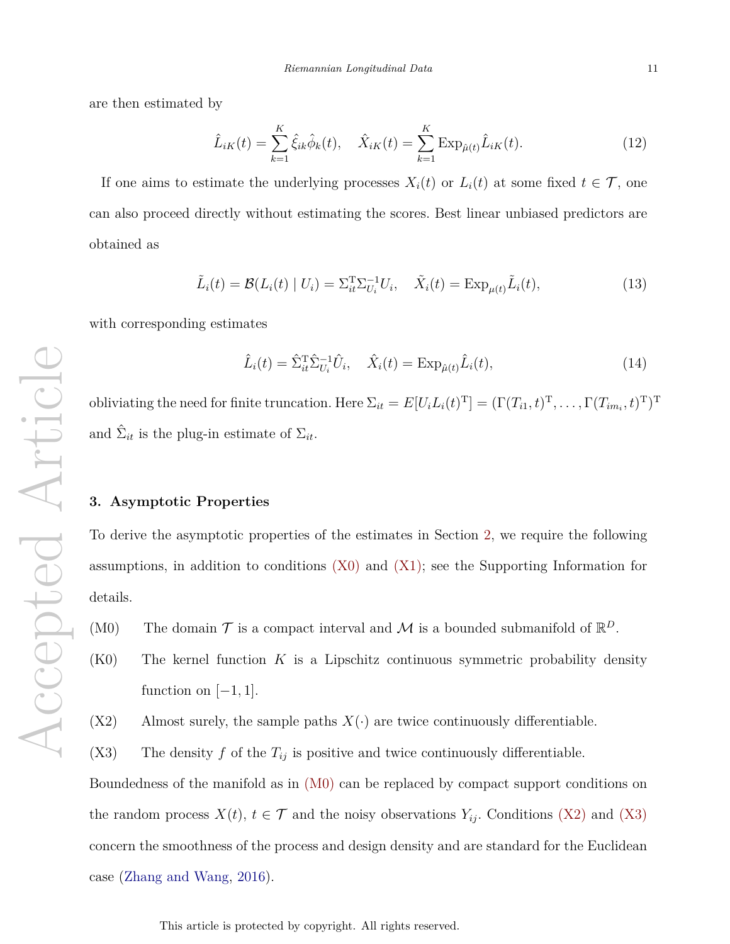are then estimated by

$$
\hat{L}_{iK}(t) = \sum_{k=1}^{K} \hat{\xi}_{ik} \hat{\phi}_k(t), \quad \hat{X}_{iK}(t) = \sum_{k=1}^{K} \text{Exp}_{\hat{\mu}(t)} \hat{L}_{iK}(t).
$$
\n(12)

If one aims to estimate the underlying processes  $X_i(t)$  or  $L_i(t)$  at some fixed  $t \in \mathcal{T}$ , one can also proceed directly without estimating the scores. Best linear unbiased predictors are obtained as

$$
\tilde{L}_i(t) = \mathcal{B}(L_i(t) \mid U_i) = \Sigma_{it}^{\mathrm{T}} \Sigma_{U_i}^{-1} U_i, \quad \tilde{X}_i(t) = \mathrm{Exp}_{\mu(t)} \tilde{L}_i(t), \tag{13}
$$

with corresponding estimates

$$
\hat{L}_i(t) = \hat{\Sigma}_{it}^{\mathrm{T}} \hat{\Sigma}_{U_i}^{-1} \hat{U}_i, \quad \hat{X}_i(t) = \mathrm{Exp}_{\hat{\mu}(t)} \hat{L}_i(t), \tag{14}
$$

obliviating the need for finite truncation. Here  $\Sigma_{it} = E[U_i L_i(t)^{\text{T}}] = (\Gamma(T_{i1}, t)^{\text{T}}, \dots, \Gamma(T_{im_i}, t)^{\text{T}})^{\text{T}}$ and  $\hat{\Sigma}_{it}$  is the plug-in estimate of  $\Sigma_{it}$ .

#### **3. Asymptotic Properties**

To derive the asymptotic properties of the estimates in Section 2, we require the following assumptions, in addition to conditions (X0) and (X1); see the Supporting Information for details.

(M0) The domain  $\mathcal T$  is a compact interval and  $\mathcal M$  is a bounded submanifold of  $\mathbb{R}^D$ .

- (K0) The kernel function *K* is a Lipschitz continuous symmetric probability density function on  $[-1, 1]$ .
- $(X2)$  Almost surely, the sample paths  $X(\cdot)$  are twice continuously differentiable.
- (X3) The density  $f$  of the  $T_{ij}$  is positive and twice continuously differentiable.

Boundedness of the manifold as in (M0) can be replaced by compact support conditions on the random process  $X(t)$ ,  $t \in \mathcal{T}$  and the noisy observations  $Y_{ij}$ . Conditions (X2) and (X3) concern the smoothness of the process and design density and are standard for the Euclidean case (Zhang and Wang, 2016).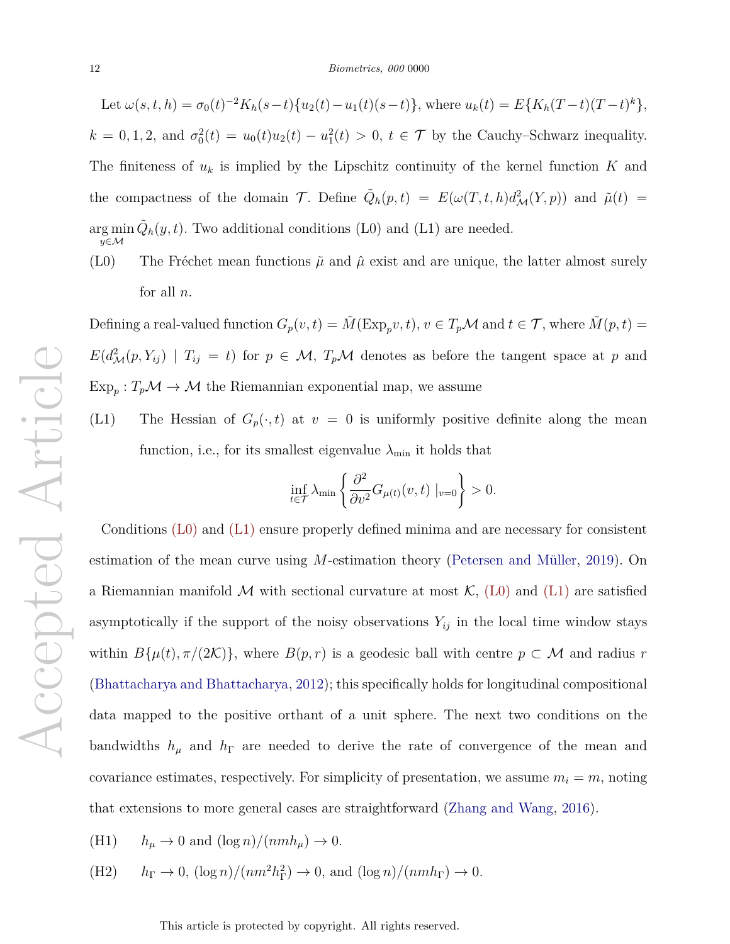Let  $\omega(s, t, h) = \sigma_0(t)^{-2} K_h(s-t) \{ u_2(t) - u_1(t)(s-t) \}$ , where  $u_k(t) = E\{ K_h(T-t)(T-t)^k \}$ ,  $k = 0, 1, 2$ , and  $\sigma_0^2(t) = u_0(t)u_2(t) - u_1^2(t) > 0$ ,  $t \in \mathcal{T}$  by the Cauchy–Schwarz inequality. The finiteness of  $u_k$  is implied by the Lipschitz continuity of the kernel function  $K$  and the compactness of the domain  $\mathcal{T}$ . Define  $\tilde{Q}_h(p,t) = E(\omega(T,t,h)d_{\mathcal{M}}^2(Y,p))$  and  $\tilde{\mu}(t) =$ arg min *y*∈M  $\tilde{Q}_h(y, t)$ . Two additional conditions (L0) and (L1) are needed.

(L0) The Fréchet mean functions  $\tilde{\mu}$  and  $\hat{\mu}$  exist and are unique, the latter almost surely for all *n*.

Defining a real-valued function  $G_p(v, t) = \tilde{M}(\text{Exp}_p v, t)$ ,  $v \in T_p \mathcal{M}$  and  $t \in \mathcal{T}$ , where  $\tilde{M}(p, t) =$  $E(d_{\mathcal{M}}^2(p, Y_{ij}) | T_{ij} = t)$  for  $p \in \mathcal{M}$ ,  $T_p\mathcal{M}$  denotes as before the tangent space at *p* and  $\text{Exp}_p: T_p\mathcal{M} \to \mathcal{M}$  the Riemannian exponential map, we assume

(L1) The Hessian of  $G_p(\cdot, t)$  at  $v = 0$  is uniformly positive definite along the mean function, i.e., for its smallest eigenvalue  $\lambda_{\min}$  it holds that

$$
\inf_{t \in \mathcal{T}} \lambda_{\min} \left\{ \frac{\partial^2}{\partial v^2} G_{\mu(t)}(v, t) \big|_{v=0} \right\} > 0.
$$

Conditions (L0) and (L1) ensure properly defined minima and are necessary for consistent estimation of the mean curve using  $M$ -estimation theory (Petersen and Müller, 2019). On a Riemannian manifold M with sectional curvature at most  $\mathcal{K}$ , (L0) and (L1) are satisfied asymptotically if the support of the noisy observations  $Y_{ij}$  in the local time window stays within  $B\{\mu(t), \pi/(2\mathcal{K})\}$ , where  $B(p, r)$  is a geodesic ball with centre  $p \subset \mathcal{M}$  and radius  $r$ (Bhattacharya and Bhattacharya, 2012); this specifically holds for longitudinal compositional data mapped to the positive orthant of a unit sphere. The next two conditions on the bandwidths  $h_{\mu}$  and  $h_{\Gamma}$  are needed to derive the rate of convergence of the mean and covariance estimates, respectively. For simplicity of presentation, we assume  $m_i = m$ , noting that extensions to more general cases are straightforward (Zhang and Wang, 2016).

- (H1)  $h_{\mu} \to 0$  and  $(\log n)/(nmh_{\mu}) \to 0$ .
- $(hP)$  *h*<sub>F</sub>  $\rightarrow$  0,  $(\log n)/(nm^2h$ <sup>2</sup><sub>F</sub> $)$   $\rightarrow$  0, and  $(\log n)/(nmh)$  $\rightarrow$  0.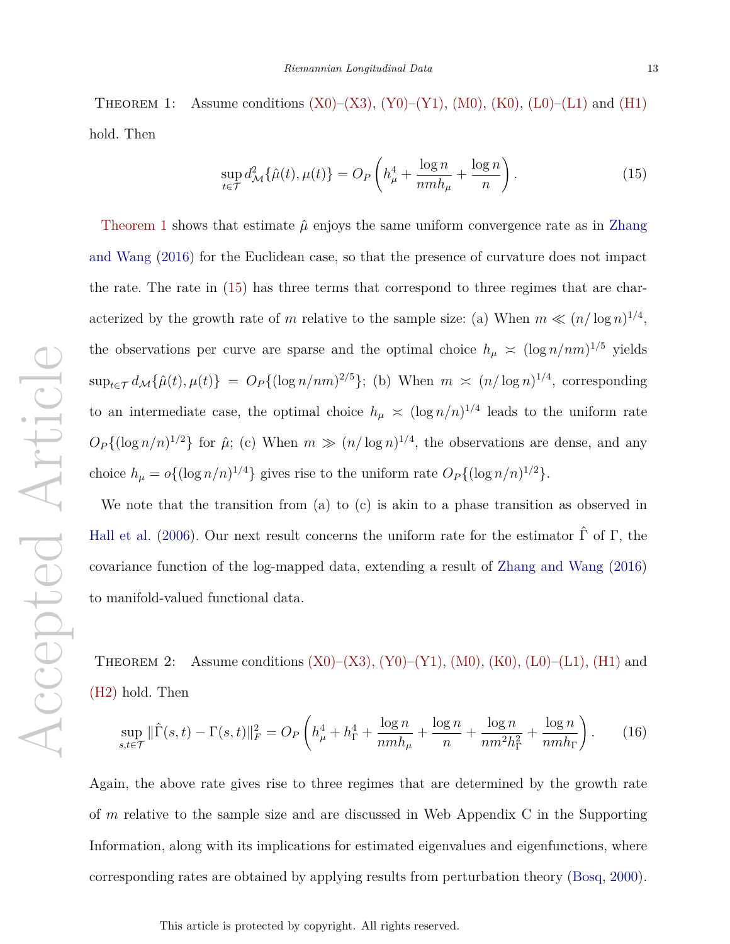THEOREM 1: Assume conditions  $(X0)$ – $(X3)$ ,  $(Y0)$ – $(Y1)$ ,  $(M0)$ ,  $(K0)$ ,  $(L0)$ – $(L1)$  and  $(H1)$ hold. Then

$$
\sup_{t \in \mathcal{T}} d_{\mathcal{M}}^2 \{\hat{\mu}(t), \mu(t)\} = O_P\left(h_{\mu}^4 + \frac{\log n}{n m h_{\mu}} + \frac{\log n}{n}\right). \tag{15}
$$

Theorem 1 shows that estimate  $\hat{\mu}$  enjoys the same uniform convergence rate as in Zhang and Wang (2016) for the Euclidean case, so that the presence of curvature does not impact the rate. The rate in (15) has three terms that correspond to three regimes that are characterized by the growth rate of *m* relative to the sample size: (a) When  $m \ll (n/\log n)^{1/4}$ , the observations per curve are sparse and the optimal choice  $h_{\mu} \approx (\log n/nm)^{1/5}$  yields  $\sup_{t \in \mathcal{T}} d_{\mathcal{M}}\{\hat{\mu}(t), \mu(t)\} = O_P\{(\log n/nm)^{2/5}\};$  (b) When  $m \asymp (n/\log n)^{1/4}$ , corresponding to an intermediate case, the optimal choice  $h_{\mu} \n\leq (\log n/n)^{1/4}$  leads to the uniform rate  $O_P\{(\log n/n)^{1/2}\}\)$  for  $\hat{\mu}$ ; (c) When  $m \gg (n/\log n)^{1/4}$ , the observations are dense, and any choice  $h_{\mu} = o\{(\log n/n)^{1/4}\}\$  gives rise to the uniform rate  $O_P\{(\log n/n)^{1/2}\}\$ .

We note that the transition from (a) to (c) is akin to a phase transition as observed in Hall et al. (2006). Our next result concerns the uniform rate for the estimator  $\hat{\Gamma}$  of  $\Gamma$ , the covariance function of the log-mapped data, extending a result of Zhang and Wang (2016) to manifold-valued functional data.

THEOREM 2: Assume conditions  $(X0)–(X3)$ ,  $(Y0)–(Y1)$ ,  $(M0)$ ,  $(K0)$ ,  $(L0)–(L1)$ ,  $(H1)$  and (H2) hold. Then

$$
\sup_{s,t \in \mathcal{T}} \|\hat{\Gamma}(s,t) - \Gamma(s,t)\|_{F}^{2} = O_{P}\left(h_{\mu}^{4} + h_{\Gamma}^{4} + \frac{\log n}{nmh_{\mu}} + \frac{\log n}{n} + \frac{\log n}{nm^{2}h_{\Gamma}^{2}} + \frac{\log n}{nmh_{\Gamma}}\right). \tag{16}
$$

Again, the above rate gives rise to three regimes that are determined by the growth rate of *m* relative to the sample size and are discussed in Web Appendix C in the Supporting Information, along with its implications for estimated eigenvalues and eigenfunctions, where corresponding rates are obtained by applying results from perturbation theory (Bosq, 2000).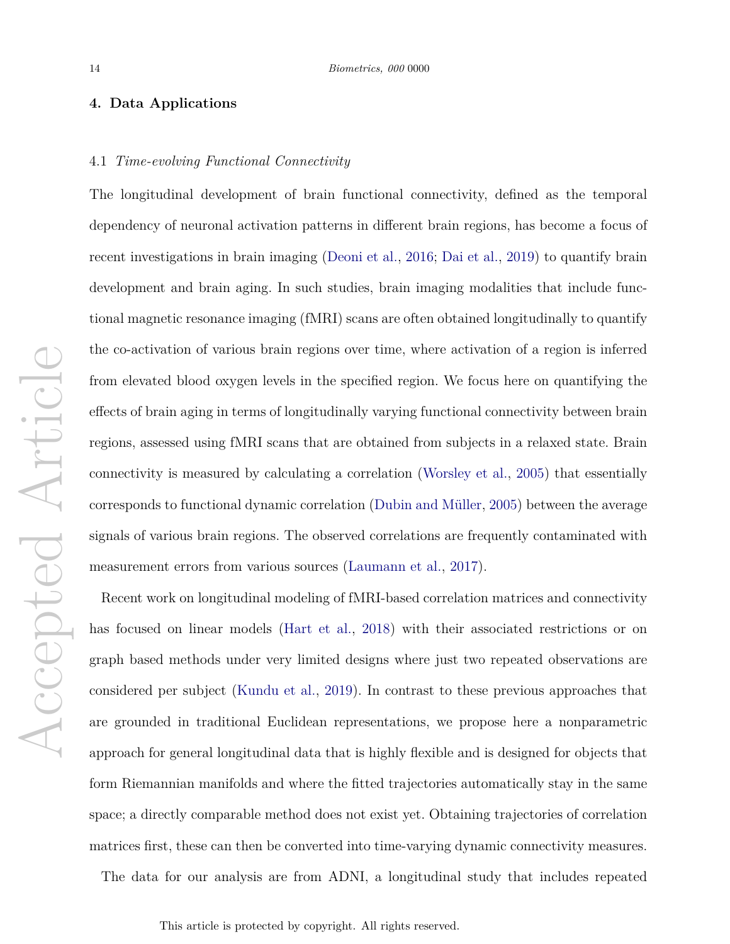# **4. Data Applications**

# 4.1 *Time-evolving Functional Connectivity*

The longitudinal development of brain functional connectivity, defined as the temporal dependency of neuronal activation patterns in different brain regions, has become a focus of recent investigations in brain imaging (Deoni et al., 2016; Dai et al., 2019) to quantify brain development and brain aging. In such studies, brain imaging modalities that include functional magnetic resonance imaging (fMRI) scans are often obtained longitudinally to quantify the co-activation of various brain regions over time, where activation of a region is inferred from elevated blood oxygen levels in the specified region. We focus here on quantifying the effects of brain aging in terms of longitudinally varying functional connectivity between brain regions, assessed using fMRI scans that are obtained from subjects in a relaxed state. Brain connectivity is measured by calculating a correlation (Worsley et al., 2005) that essentially corresponds to functional dynamic correlation (Dubin and Müller, 2005) between the average signals of various brain regions. The observed correlations are frequently contaminated with measurement errors from various sources (Laumann et al., 2017).

Recent work on longitudinal modeling of fMRI-based correlation matrices and connectivity has focused on linear models (Hart et al., 2018) with their associated restrictions or on graph based methods under very limited designs where just two repeated observations are considered per subject (Kundu et al., 2019). In contrast to these previous approaches that are grounded in traditional Euclidean representations, we propose here a nonparametric approach for general longitudinal data that is highly flexible and is designed for objects that form Riemannian manifolds and where the fitted trajectories automatically stay in the same space; a directly comparable method does not exist yet. Obtaining trajectories of correlation matrices first, these can then be converted into time-varying dynamic connectivity measures.

The data for our analysis are from ADNI, a longitudinal study that includes repeated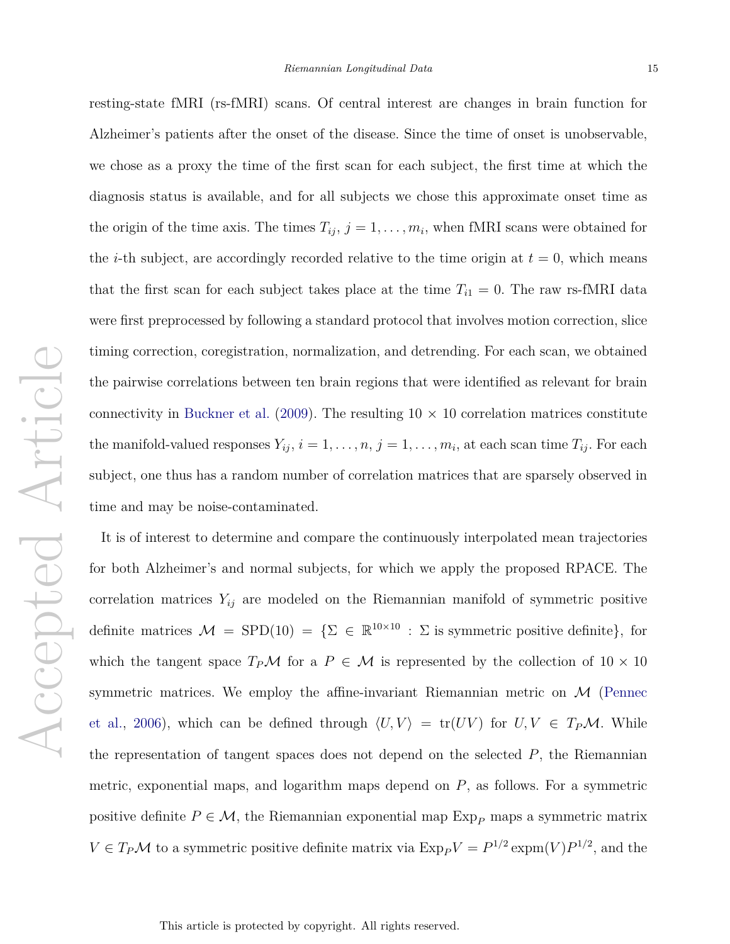resting-state fMRI (rs-fMRI) scans. Of central interest are changes in brain function for Alzheimer's patients after the onset of the disease. Since the time of onset is unobservable, we chose as a proxy the time of the first scan for each subject, the first time at which the diagnosis status is available, and for all subjects we chose this approximate onset time as the origin of the time axis. The times  $T_{ij}$ ,  $j = 1, \ldots, m_i$ , when fMRI scans were obtained for the *i*-th subject, are accordingly recorded relative to the time origin at  $t = 0$ , which means that the first scan for each subject takes place at the time  $T_{i1} = 0$ . The raw rs-fMRI data were first preprocessed by following a standard protocol that involves motion correction, slice timing correction, coregistration, normalization, and detrending. For each scan, we obtained the pairwise correlations between ten brain regions that were identified as relevant for brain connectivity in Buckner et al. (2009). The resulting  $10 \times 10$  correlation matrices constitute the manifold-valued responses  $Y_{ij}$ ,  $i = 1, \ldots, n$ ,  $j = 1, \ldots, m_i$ , at each scan time  $T_{ij}$ . For each subject, one thus has a random number of correlation matrices that are sparsely observed in time and may be noise-contaminated.

It is of interest to determine and compare the continuously interpolated mean trajectories for both Alzheimer's and normal subjects, for which we apply the proposed RPACE. The correlation matrices  $Y_{ij}$  are modeled on the Riemannian manifold of symmetric positive definite matrices  $\mathcal{M} = \text{SPD}(10) = \{ \Sigma \in \mathbb{R}^{10 \times 10} : \Sigma \text{ is symmetric positive definite} \},\text{ for }$ which the tangent space  $T_P\mathcal{M}$  for a  $P \in \mathcal{M}$  is represented by the collection of  $10 \times 10$ symmetric matrices. We employ the affine-invariant Riemannian metric on  $\mathcal M$  (Pennec et al., 2006), which can be defined through  $\langle U, V \rangle = \text{tr}(UV)$  for  $U, V \in T_P \mathcal{M}$ . While the representation of tangent spaces does not depend on the selected *P*, the Riemannian metric, exponential maps, and logarithm maps depend on *P*, as follows. For a symmetric positive definite  $P \in \mathcal{M}$ , the Riemannian exponential map  $Exp<sub>P</sub>$  maps a symmetric matrix  $V \in T_P \mathcal{M}$  to a symmetric positive definite matrix via  $\text{Exp}_P V = P^{1/2} \exp(m(V) P^{1/2})$ , and the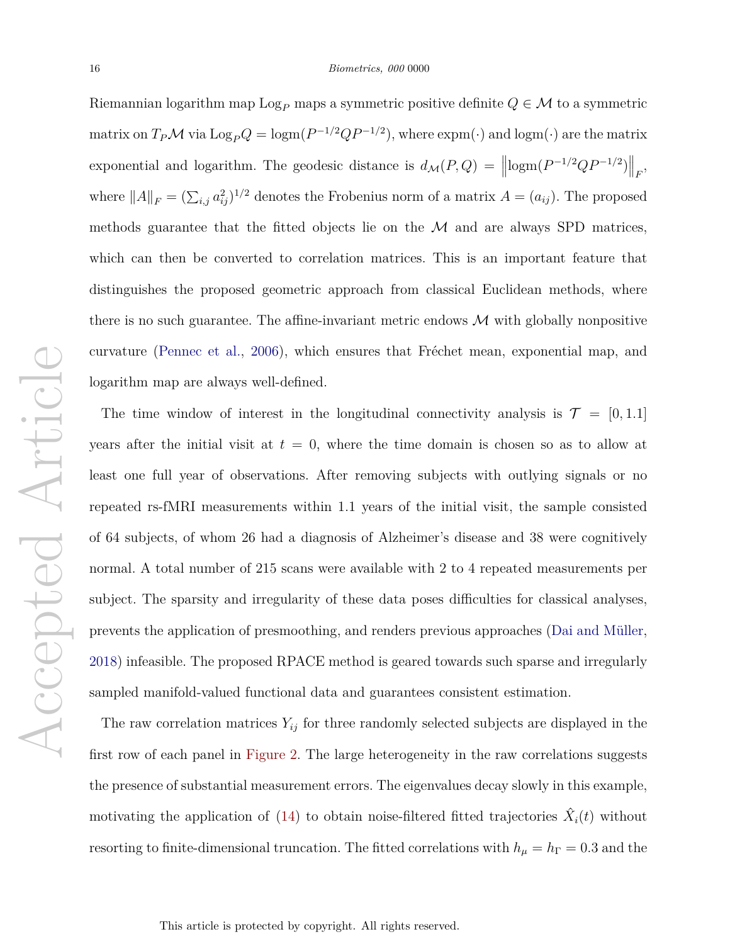Riemannian logarithm map  $\text{Log}_P$  maps a symmetric positive definite  $Q \in \mathcal{M}$  to a symmetric matrix on  $T_P \mathcal{M}$  via  $\text{Log}_P Q = \text{logm}(P^{-1/2}QP^{-1/2})$ , where  $\text{expm}(\cdot)$  and  $\text{logm}(\cdot)$  are the matrix exponential and logarithm. The geodesic distance is  $d_{\mathcal{M}}(P,Q) = ||\text{logm}(P^{-1/2}QP^{-1/2})||_F$ , where  $||A||_F = (\sum_{i,j} a_{ij}^2)^{1/2}$  denotes the Frobenius norm of a matrix  $A = (a_{ij})$ . The proposed methods guarantee that the fitted objects lie on the  $\mathcal M$  and are always SPD matrices, which can then be converted to correlation matrices. This is an important feature that distinguishes the proposed geometric approach from classical Euclidean methods, where there is no such guarantee. The affine-invariant metric endows  $\mathcal M$  with globally nonpositive curvature (Pennec et al., 2006), which ensures that Fréchet mean, exponential map, and logarithm map are always well-defined.

The time window of interest in the longitudinal connectivity analysis is  $\mathcal{T} = [0, 1.1]$ years after the initial visit at  $t = 0$ , where the time domain is chosen so as to allow at least one full year of observations. After removing subjects with outlying signals or no repeated rs-fMRI measurements within 1.1 years of the initial visit, the sample consisted of 64 subjects, of whom 26 had a diagnosis of Alzheimer's disease and 38 were cognitively normal. A total number of 215 scans were available with 2 to 4 repeated measurements per subject. The sparsity and irregularity of these data poses difficulties for classical analyses, prevents the application of presmoothing, and renders previous approaches (Dai and M¨uller, 2018) infeasible. The proposed RPACE method is geared towards such sparse and irregularly sampled manifold-valued functional data and guarantees consistent estimation.

The raw correlation matrices  $Y_{ij}$  for three randomly selected subjects are displayed in the first row of each panel in Figure 2. The large heterogeneity in the raw correlations suggests the presence of substantial measurement errors. The eigenvalues decay slowly in this example, motivating the application of  $(14)$  to obtain noise-filtered fitted trajectories  $\hat{X}_i(t)$  without resorting to finite-dimensional truncation. The fitted correlations with  $h_{\mu} = h_{\Gamma} = 0.3$  and the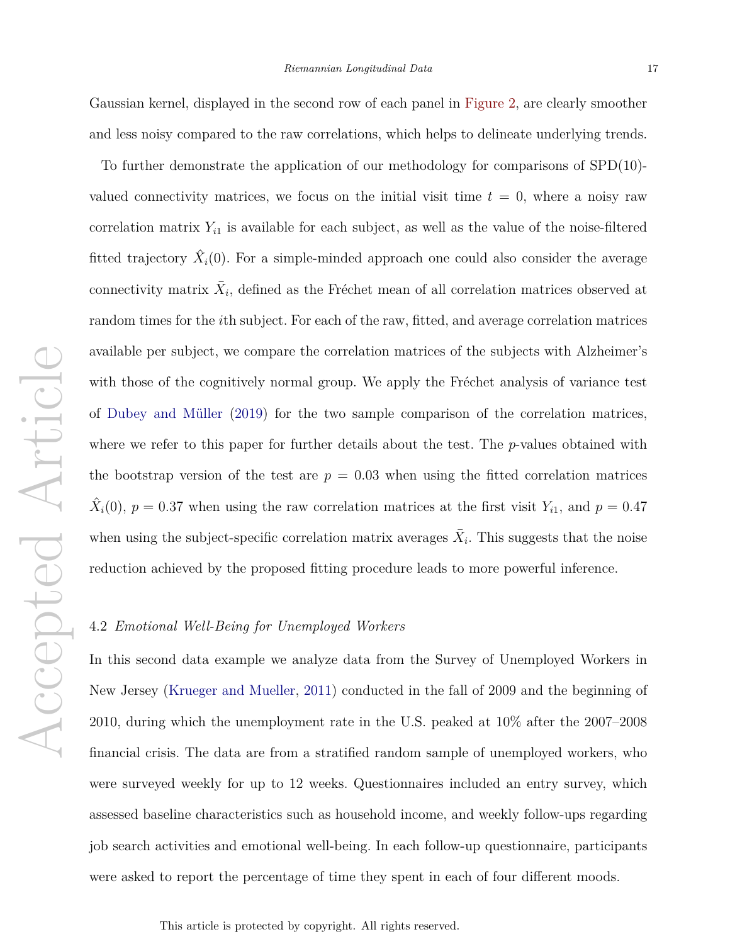Gaussian kernel, displayed in the second row of each panel in Figure 2, are clearly smoother and less noisy compared to the raw correlations, which helps to delineate underlying trends.

To further demonstrate the application of our methodology for comparisons of SPD(10) valued connectivity matrices, we focus on the initial visit time  $t = 0$ , where a noisy raw correlation matrix  $Y_{i1}$  is available for each subject, as well as the value of the noise-filtered fitted trajectory  $\hat{X}_i(0)$ . For a simple-minded approach one could also consider the average connectivity matrix  $\bar{X}_i$ , defined as the Fréchet mean of all correlation matrices observed at random times for the *i*th subject. For each of the raw, fitted, and average correlation matrices available per subject, we compare the correlation matrices of the subjects with Alzheimer's with those of the cognitively normal group. We apply the Fréchet analysis of variance test of Dubey and M¨uller (2019) for the two sample comparison of the correlation matrices, where we refer to this paper for further details about the test. The *p*-values obtained with the bootstrap version of the test are  $p = 0.03$  when using the fitted correlation matrices  $\hat{X}_i(0)$ ,  $p = 0.37$  when using the raw correlation matrices at the first visit  $Y_{i1}$ , and  $p = 0.47$ when using the subject-specific correlation matrix averages  $\bar{X}_i$ . This suggests that the noise reduction achieved by the proposed fitting procedure leads to more powerful inference.

#### 4.2 *Emotional Well-Being for Unemployed Workers*

In this second data example we analyze data from the Survey of Unemployed Workers in New Jersey (Krueger and Mueller, 2011) conducted in the fall of 2009 and the beginning of 2010, during which the unemployment rate in the U.S. peaked at 10% after the 2007–2008 financial crisis. The data are from a stratified random sample of unemployed workers, who were surveyed weekly for up to 12 weeks. Questionnaires included an entry survey, which assessed baseline characteristics such as household income, and weekly follow-ups regarding job search activities and emotional well-being. In each follow-up questionnaire, participants were asked to report the percentage of time they spent in each of four different moods.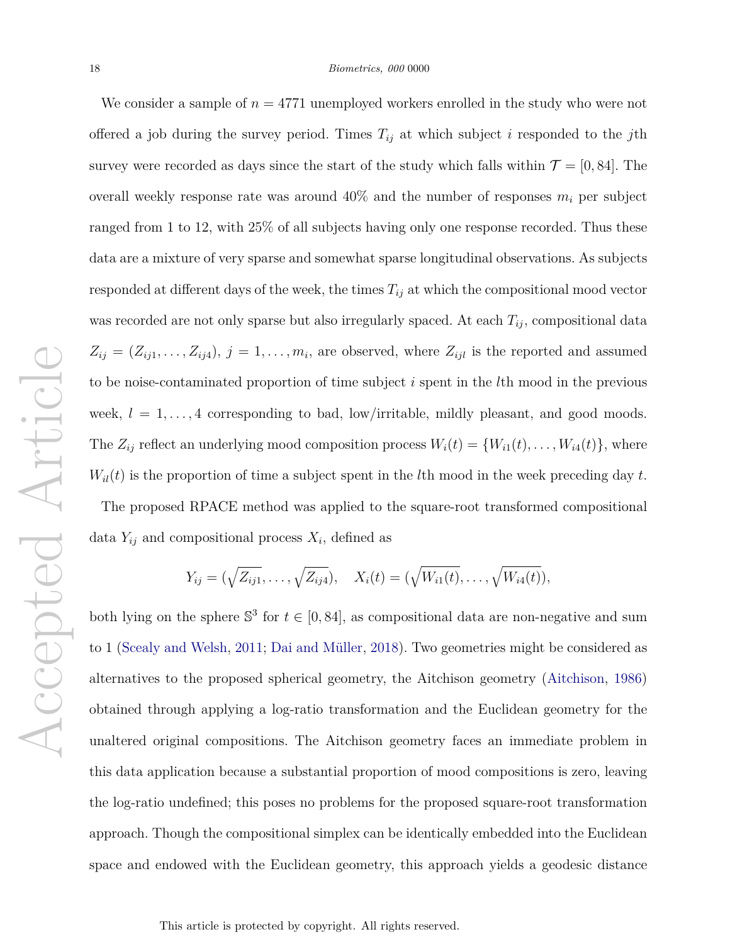#### 18 *Biometrics, 000* 0000

We consider a sample of  $n = 4771$  unemployed workers enrolled in the study who were not offered a job during the survey period. Times  $T_{ij}$  at which subject *i* responded to the *j*th survey were recorded as days since the start of the study which falls within  $\mathcal{T} = [0, 84]$ . The overall weekly response rate was around  $40\%$  and the number of responses  $m_i$  per subject ranged from 1 to 12, with 25% of all subjects having only one response recorded. Thus these data are a mixture of very sparse and somewhat sparse longitudinal observations. As subjects responded at different days of the week, the times  $T_{ij}$  at which the compositional mood vector was recorded are not only sparse but also irregularly spaced. At each  $T_{ij}$ , compositional data  $Z_{ij} = (Z_{ij1}, \ldots, Z_{ij4}), j = 1, \ldots, m_i$ , are observed, where  $Z_{ijl}$  is the reported and assumed to be noise-contaminated proportion of time subject *i* spent in the *l*th mood in the previous week,  $l = 1, \ldots, 4$  corresponding to bad, low/irritable, mildly pleasant, and good moods. The  $Z_{ij}$  reflect an underlying mood composition process  $W_i(t) = \{W_{i1}(t), \ldots, W_{i4}(t)\}\)$ , where  $W_i(t)$  is the proportion of time a subject spent in the *l*th mood in the week preceding day *t*.

The proposed RPACE method was applied to the square-root transformed compositional data  $Y_{ij}$  and compositional process  $X_i$ , defined as

$$
Y_{ij} = (\sqrt{Z_{ij1}}, \ldots, \sqrt{Z_{ij4}}), \quad X_i(t) = (\sqrt{W_{i1}(t)}, \ldots, \sqrt{W_{i4}(t)}),
$$

both lying on the sphere  $\mathbb{S}^3$  for  $t \in [0, 84]$ , as compositional data are non-negative and sum to 1 (Scealy and Welsh, 2011; Dai and Müller, 2018). Two geometries might be considered as alternatives to the proposed spherical geometry, the Aitchison geometry (Aitchison, 1986) obtained through applying a log-ratio transformation and the Euclidean geometry for the unaltered original compositions. The Aitchison geometry faces an immediate problem in this data application because a substantial proportion of mood compositions is zero, leaving the log-ratio undefined; this poses no problems for the proposed square-root transformation approach. Though the compositional simplex can be identically embedded into the Euclidean space and endowed with the Euclidean geometry, this approach yields a geodesic distance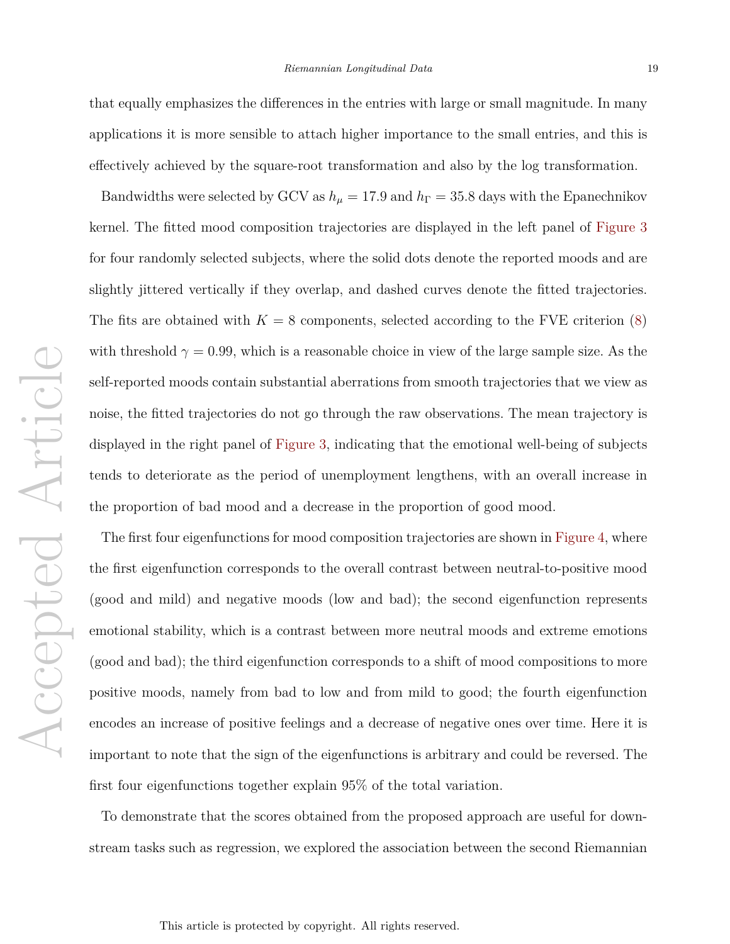that equally emphasizes the differences in the entries with large or small magnitude. In many applications it is more sensible to attach higher importance to the small entries, and this is effectively achieved by the square-root transformation and also by the log transformation.

Bandwidths were selected by GCV as  $h_{\mu} = 17.9$  and  $h_{\Gamma} = 35.8$  days with the Epanechnikov kernel. The fitted mood composition trajectories are displayed in the left panel of Figure 3 for four randomly selected subjects, where the solid dots denote the reported moods and are slightly jittered vertically if they overlap, and dashed curves denote the fitted trajectories. The fits are obtained with  $K = 8$  components, selected according to the FVE criterion  $(8)$ with threshold  $\gamma = 0.99$ , which is a reasonable choice in view of the large sample size. As the self-reported moods contain substantial aberrations from smooth trajectories that we view as noise, the fitted trajectories do not go through the raw observations. The mean trajectory is displayed in the right panel of Figure 3, indicating that the emotional well-being of subjects tends to deteriorate as the period of unemployment lengthens, with an overall increase in the proportion of bad mood and a decrease in the proportion of good mood.

The first four eigenfunctions for mood composition trajectories are shown in Figure 4, where the first eigenfunction corresponds to the overall contrast between neutral-to-positive mood (good and mild) and negative moods (low and bad); the second eigenfunction represents emotional stability, which is a contrast between more neutral moods and extreme emotions (good and bad); the third eigenfunction corresponds to a shift of mood compositions to more positive moods, namely from bad to low and from mild to good; the fourth eigenfunction encodes an increase of positive feelings and a decrease of negative ones over time. Here it is important to note that the sign of the eigenfunctions is arbitrary and could be reversed. The first four eigenfunctions together explain 95% of the total variation.

To demonstrate that the scores obtained from the proposed approach are useful for downstream tasks such as regression, we explored the association between the second Riemannian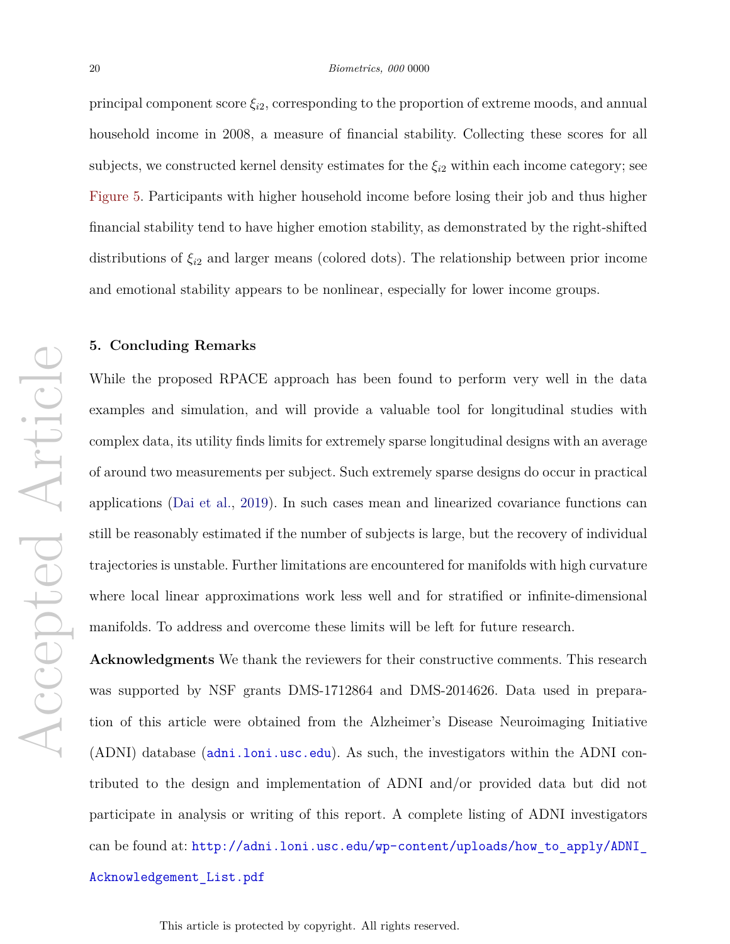principal component score  $\xi_{i2}$ , corresponding to the proportion of extreme moods, and annual household income in 2008, a measure of financial stability. Collecting these scores for all subjects, we constructed kernel density estimates for the  $\xi_{i2}$  within each income category; see Figure 5. Participants with higher household income before losing their job and thus higher financial stability tend to have higher emotion stability, as demonstrated by the right-shifted distributions of *ξi*<sup>2</sup> and larger means (colored dots). The relationship between prior income and emotional stability appears to be nonlinear, especially for lower income groups.

## **5. Concluding Remarks**

While the proposed RPACE approach has been found to perform very well in the data examples and simulation, and will provide a valuable tool for longitudinal studies with complex data, its utility finds limits for extremely sparse longitudinal designs with an average of around two measurements per subject. Such extremely sparse designs do occur in practical applications (Dai et al., 2019). In such cases mean and linearized covariance functions can still be reasonably estimated if the number of subjects is large, but the recovery of individual trajectories is unstable. Further limitations are encountered for manifolds with high curvature where local linear approximations work less well and for stratified or infinite-dimensional manifolds. To address and overcome these limits will be left for future research.

**Acknowledgments** We thank the reviewers for their constructive comments. This research was supported by NSF grants DMS-1712864 and DMS-2014626. Data used in preparation of this article were obtained from the Alzheimer's Disease Neuroimaging Initiative (ADNI) database (adni.loni.usc.edu). As such, the investigators within the ADNI contributed to the design and implementation of ADNI and/or provided data but did not participate in analysis or writing of this report. A complete listing of ADNI investigators can be found at: http://adni.loni.usc.edu/wp-content/uploads/how\_to\_apply/ADNI\_

Acknowledgement\_List.pdf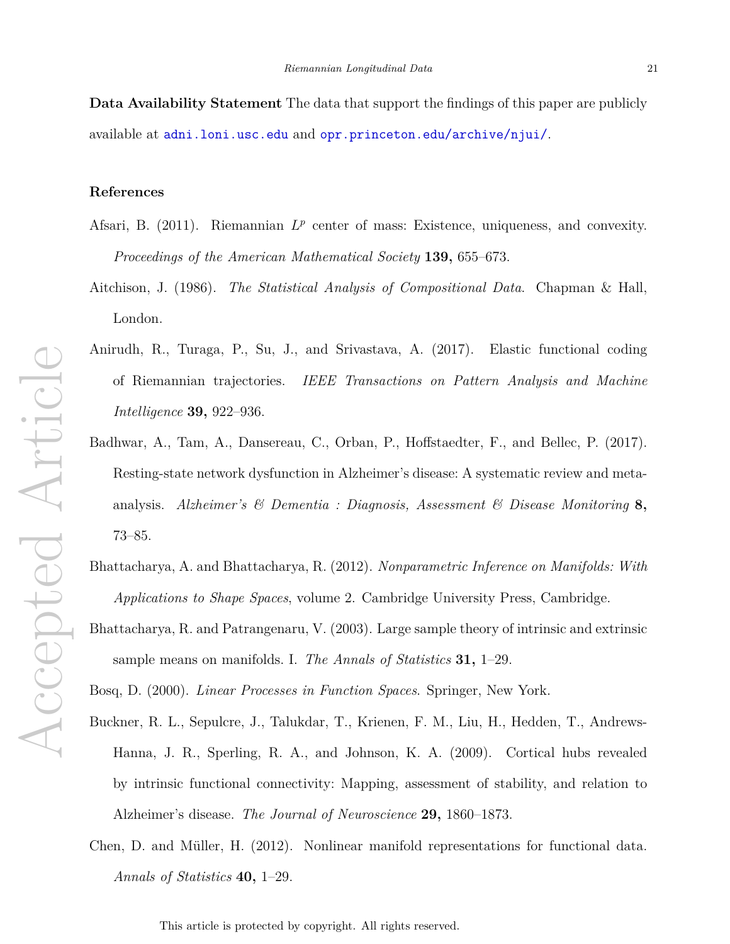**Data Availability Statement** The data that support the findings of this paper are publicly available at adni.loni.usc.edu and opr.princeton.edu/archive/njui/.

# **References**

- Afsari, B. (2011). Riemannian  $L^p$  center of mass: Existence, uniqueness, and convexity. *Proceedings of the American Mathematical Society* **139,** 655–673.
- Aitchison, J. (1986). *The Statistical Analysis of Compositional Data*. Chapman & Hall, London.
- Anirudh, R., Turaga, P., Su, J., and Srivastava, A. (2017). Elastic functional coding of Riemannian trajectories. *IEEE Transactions on Pattern Analysis and Machine Intelligence* **39,** 922–936.
- Badhwar, A., Tam, A., Dansereau, C., Orban, P., Hoffstaedter, F., and Bellec, P. (2017). Resting-state network dysfunction in Alzheimer's disease: A systematic review and metaanalysis. *Alzheimer's & Dementia : Diagnosis, Assessment & Disease Monitoring* **8,** 73–85.
- Bhattacharya, A. and Bhattacharya, R. (2012). *Nonparametric Inference on Manifolds: With Applications to Shape Spaces*, volume 2. Cambridge University Press, Cambridge.
- Bhattacharya, R. and Patrangenaru, V. (2003). Large sample theory of intrinsic and extrinsic sample means on manifolds. I. *The Annals of Statistics* **31,** 1–29.

Bosq, D. (2000). *Linear Processes in Function Spaces*. Springer, New York.

- Buckner, R. L., Sepulcre, J., Talukdar, T., Krienen, F. M., Liu, H., Hedden, T., Andrews-Hanna, J. R., Sperling, R. A., and Johnson, K. A. (2009). Cortical hubs revealed by intrinsic functional connectivity: Mapping, assessment of stability, and relation to Alzheimer's disease. *The Journal of Neuroscience* **29,** 1860–1873.
- Chen, D. and M¨uller, H. (2012). Nonlinear manifold representations for functional data. *Annals of Statistics* **40,** 1–29.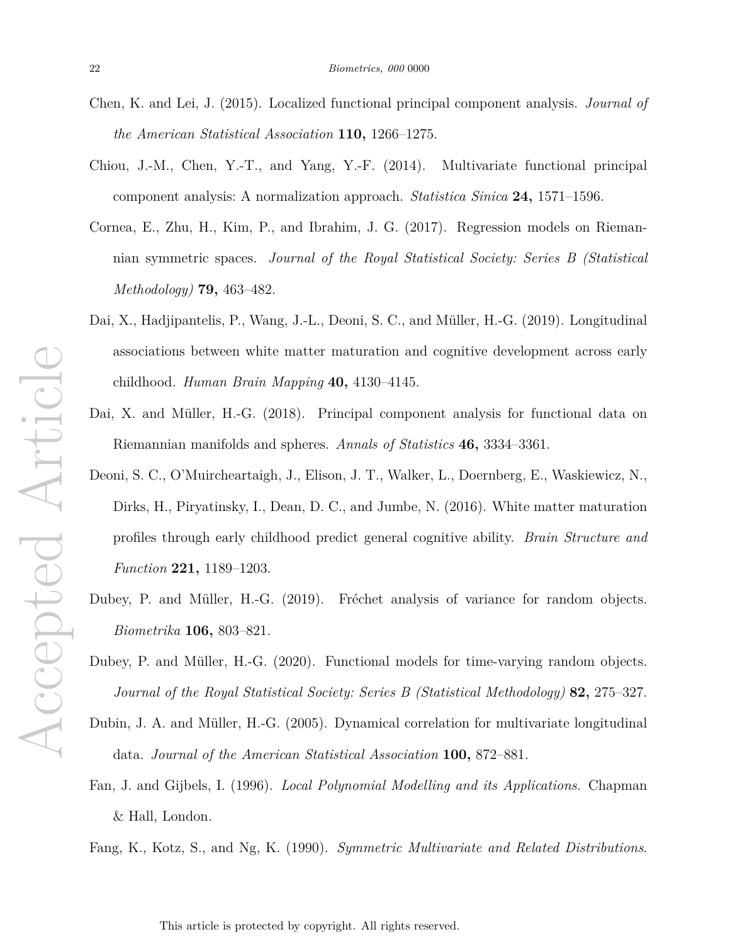- Chen, K. and Lei, J. (2015). Localized functional principal component analysis. *Journal of the American Statistical Association* **110,** 1266–1275.
- Chiou, J.-M., Chen, Y.-T., and Yang, Y.-F. (2014). Multivariate functional principal component analysis: A normalization approach. *Statistica Sinica* **24,** 1571–1596.
- Cornea, E., Zhu, H., Kim, P., and Ibrahim, J. G. (2017). Regression models on Riemannian symmetric spaces. *Journal of the Royal Statistical Society: Series B (Statistical Methodology)* **79,** 463–482.
- Dai, X., Hadjipantelis, P., Wang, J.-L., Deoni, S. C., and Müller, H.-G. (2019). Longitudinal associations between white matter maturation and cognitive development across early childhood. *Human Brain Mapping* **40,** 4130–4145.
- Dai, X. and Müller, H.-G. (2018). Principal component analysis for functional data on Riemannian manifolds and spheres. *Annals of Statistics* **46,** 3334–3361.
- Deoni, S. C., O'Muircheartaigh, J., Elison, J. T., Walker, L., Doernberg, E., Waskiewicz, N., Dirks, H., Piryatinsky, I., Dean, D. C., and Jumbe, N. (2016). White matter maturation profiles through early childhood predict general cognitive ability. *Brain Structure and Function* **221,** 1189–1203.
- Dubey, P. and Müller, H.-G. (2019). Fréchet analysis of variance for random objects. *Biometrika* **106,** 803–821.
- Dubey, P. and Müller, H.-G. (2020). Functional models for time-varying random objects. *Journal of the Royal Statistical Society: Series B (Statistical Methodology)* **82,** 275–327.
- Dubin, J. A. and Müller, H.-G. (2005). Dynamical correlation for multivariate longitudinal data. *Journal of the American Statistical Association* **100,** 872–881.
- Fan, J. and Gijbels, I. (1996). *Local Polynomial Modelling and its Applications*. Chapman & Hall, London.
- Fang, K., Kotz, S., and Ng, K. (1990). *Symmetric Multivariate and Related Distributions*.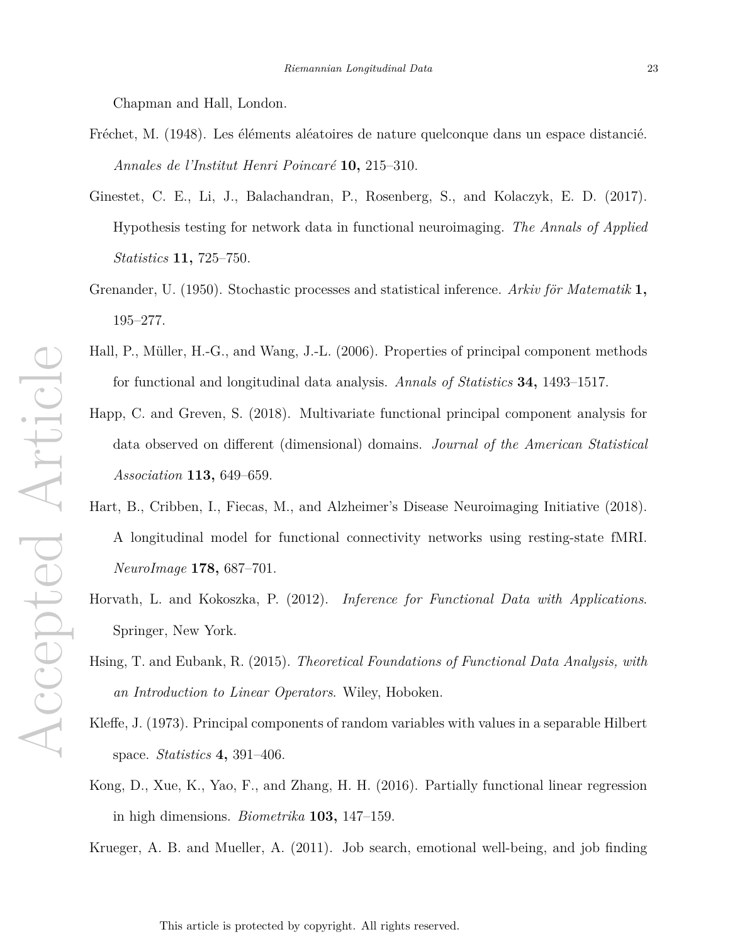Chapman and Hall, London.

- Fréchet, M. (1948). Les éléments aléatoires de nature quelconque dans un espace distancié. *Annales de l'Institut Henri Poincar´e* **10,** 215–310.
- Ginestet, C. E., Li, J., Balachandran, P., Rosenberg, S., and Kolaczyk, E. D. (2017). Hypothesis testing for network data in functional neuroimaging. *The Annals of Applied Statistics* **11,** 725–750.
- Grenander, U. (1950). Stochastic processes and statistical inference. *Arkiv för Matematik* **1**, 195–277.
- Hall, P., Müller, H.-G., and Wang, J.-L. (2006). Properties of principal component methods for functional and longitudinal data analysis. *Annals of Statistics* **34,** 1493–1517.
- Happ, C. and Greven, S. (2018). Multivariate functional principal component analysis for data observed on different (dimensional) domains. *Journal of the American Statistical Association* **113,** 649–659.
- Hart, B., Cribben, I., Fiecas, M., and Alzheimer's Disease Neuroimaging Initiative (2018). A longitudinal model for functional connectivity networks using resting-state fMRI. *NeuroImage* **178,** 687–701.
- Horvath, L. and Kokoszka, P. (2012). *Inference for Functional Data with Applications*. Springer, New York.
- Hsing, T. and Eubank, R. (2015). *Theoretical Foundations of Functional Data Analysis, with an Introduction to Linear Operators*. Wiley, Hoboken.
- Kleffe, J. (1973). Principal components of random variables with values in a separable Hilbert space. *Statistics* **4,** 391–406.
- Kong, D., Xue, K., Yao, F., and Zhang, H. H. (2016). Partially functional linear regression in high dimensions. *Biometrika* **103,** 147–159.
- Krueger, A. B. and Mueller, A. (2011). Job search, emotional well-being, and job finding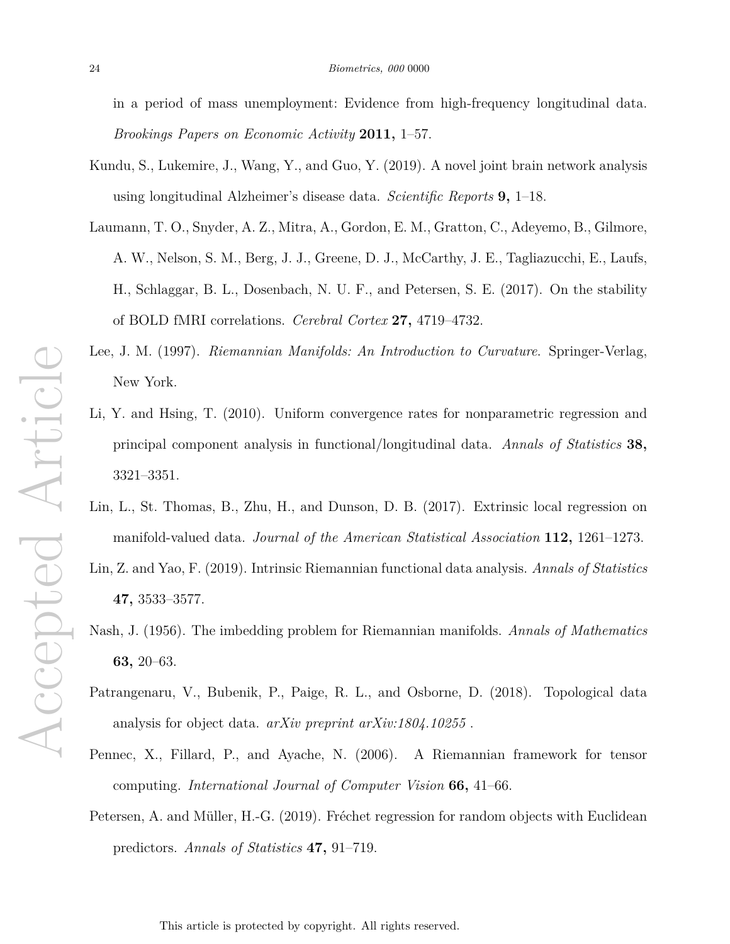in a period of mass unemployment: Evidence from high-frequency longitudinal data. *Brookings Papers on Economic Activity* **2011,** 1–57.

- Kundu, S., Lukemire, J., Wang, Y., and Guo, Y. (2019). A novel joint brain network analysis using longitudinal Alzheimer's disease data. *Scientific Reports* **9,** 1–18.
- Laumann, T. O., Snyder, A. Z., Mitra, A., Gordon, E. M., Gratton, C., Adeyemo, B., Gilmore, A. W., Nelson, S. M., Berg, J. J., Greene, D. J., McCarthy, J. E., Tagliazucchi, E., Laufs, H., Schlaggar, B. L., Dosenbach, N. U. F., and Petersen, S. E. (2017). On the stability of BOLD fMRI correlations. *Cerebral Cortex* **27,** 4719–4732.
- Lee, J. M. (1997). *Riemannian Manifolds: An Introduction to Curvature*. Springer-Verlag, New York.
- Li, Y. and Hsing, T. (2010). Uniform convergence rates for nonparametric regression and principal component analysis in functional/longitudinal data. *Annals of Statistics* **38,** 3321–3351.
- Lin, L., St. Thomas, B., Zhu, H., and Dunson, D. B. (2017). Extrinsic local regression on manifold-valued data. *Journal of the American Statistical Association* **112,** 1261–1273.
- Lin, Z. and Yao, F. (2019). Intrinsic Riemannian functional data analysis. *Annals of Statistics* **47,** 3533–3577.
- Nash, J. (1956). The imbedding problem for Riemannian manifolds. *Annals of Mathematics* **63,** 20–63.
- Patrangenaru, V., Bubenik, P., Paige, R. L., and Osborne, D. (2018). Topological data analysis for object data. *arXiv preprint arXiv:1804.10255* .
- Pennec, X., Fillard, P., and Ayache, N. (2006). A Riemannian framework for tensor computing. *International Journal of Computer Vision* **66,** 41–66.
- Petersen, A. and Müller, H.-G. (2019). Fréchet regression for random objects with Euclidean predictors. *Annals of Statistics* **47,** 91–719.

Accepted Article Accepted Article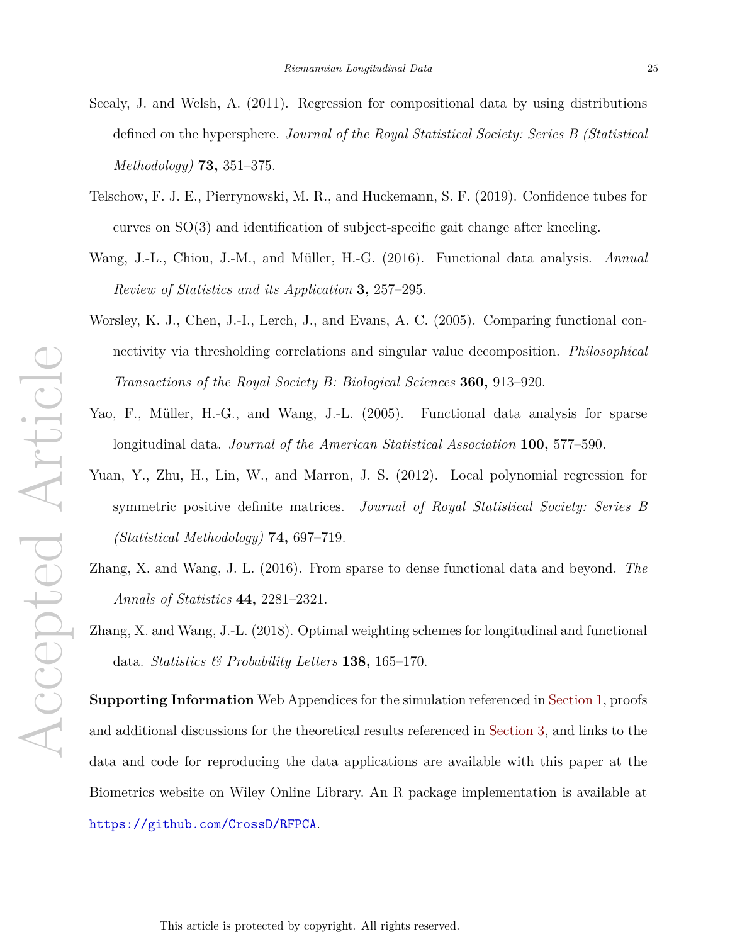- Scealy, J. and Welsh, A. (2011). Regression for compositional data by using distributions defined on the hypersphere. *Journal of the Royal Statistical Society: Series B (Statistical Methodology)* **73,** 351–375.
- Telschow, F. J. E., Pierrynowski, M. R., and Huckemann, S. F. (2019). Confidence tubes for curves on SO(3) and identification of subject-specific gait change after kneeling.
- Wang, J.-L., Chiou, J.-M., and M¨uller, H.-G. (2016). Functional data analysis. *Annual Review of Statistics and its Application* **3,** 257–295.
- Worsley, K. J., Chen, J.-I., Lerch, J., and Evans, A. C. (2005). Comparing functional connectivity via thresholding correlations and singular value decomposition. *Philosophical Transactions of the Royal Society B: Biological Sciences* **360,** 913–920.
- Yao, F., Müller, H.-G., and Wang, J.-L. (2005). Functional data analysis for sparse longitudinal data. *Journal of the American Statistical Association* **100,** 577–590.
- Yuan, Y., Zhu, H., Lin, W., and Marron, J. S. (2012). Local polynomial regression for symmetric positive definite matrices. *Journal of Royal Statistical Society: Series B (Statistical Methodology)* **74,** 697–719.
- Zhang, X. and Wang, J. L. (2016). From sparse to dense functional data and beyond. *The Annals of Statistics* **44,** 2281–2321.
- Zhang, X. and Wang, J.-L. (2018). Optimal weighting schemes for longitudinal and functional data. *Statistics & Probability Letters* **138,** 165–170.

**Supporting Information** Web Appendices for the simulation referenced in Section 1, proofs and additional discussions for the theoretical results referenced in Section 3, and links to the data and code for reproducing the data applications are available with this paper at the Biometrics website on Wiley Online Library. An R package implementation is available at https://github.com/CrossD/RFPCA.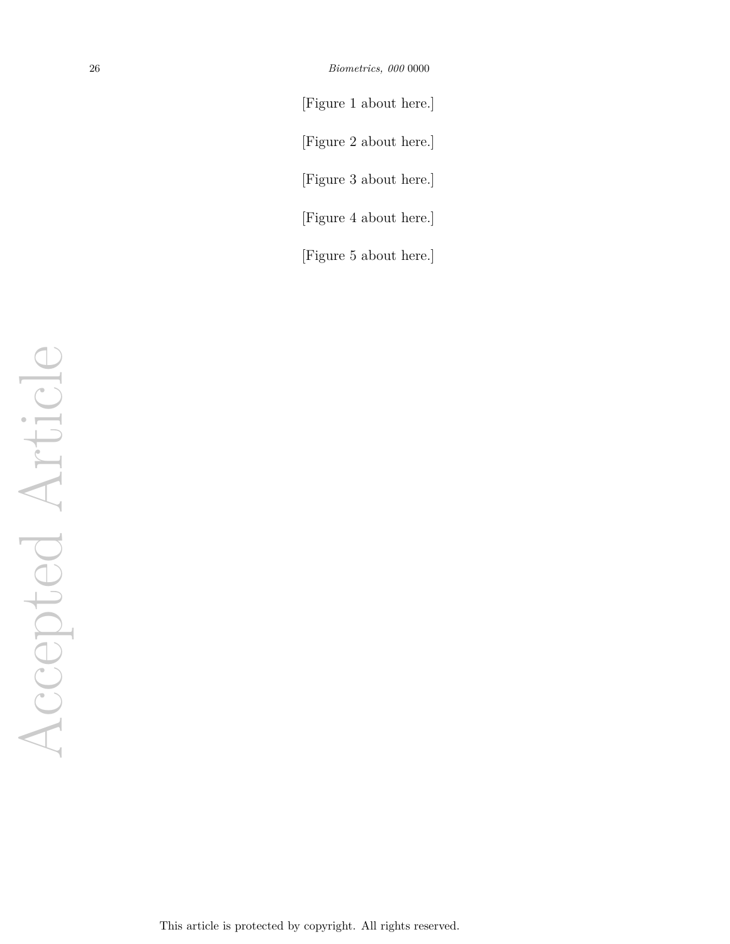[Figure 1 about here.] [Figure 2 about here.] [Figure 3 about here.] [Figure 4 about here.]

[Figure 5 about here.]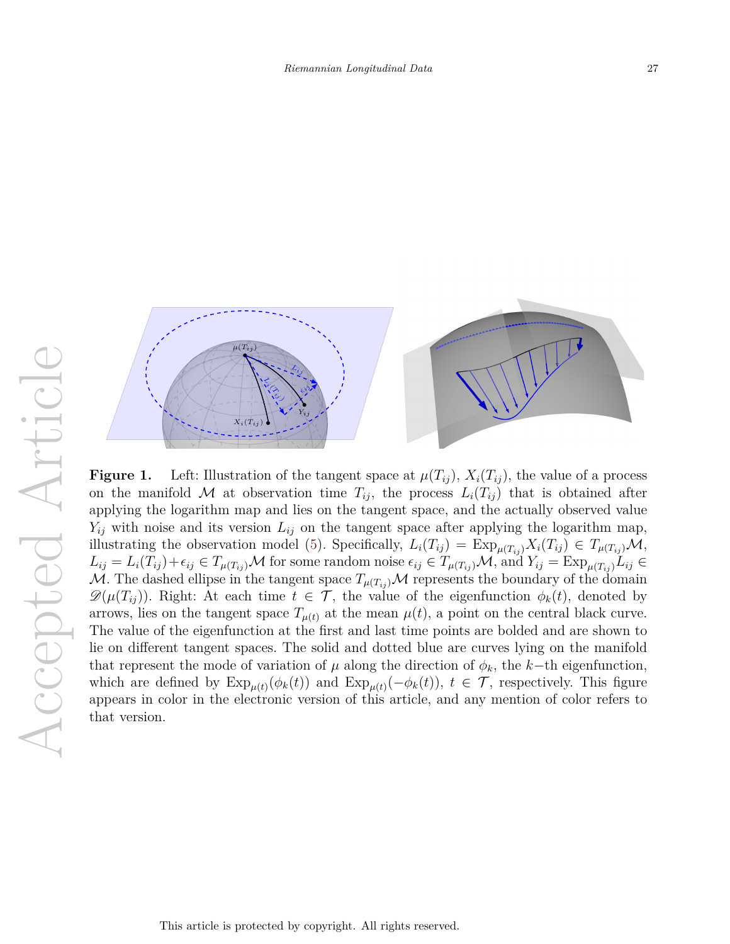

**Figure 1.** Left: Illustration of the tangent space at  $\mu(T_{ij})$ ,  $X_i(T_{ij})$ , the value of a process on the manifold M at observation time  $T_{ij}$ , the process  $L_i(T_{ij})$  that is obtained after applying the logarithm map and lies on the tangent space, and the actually observed value  $Y_{ij}$  with noise and its version  $L_{ij}$  on the tangent space after applying the logarithm map, illustrating the observation model (5). Specifically,  $L_i(T_{ij}) = \text{Exp}_{\mu(T_{ij})} X_i(T_{ij}) \in T_{\mu(T_{ij})} \mathcal{M}$ ,  $L_{ij} = L_i(T_{ij}) + \epsilon_{ij} \in T_{\mu(T_{ij})}\mathcal{M}$  for some random noise  $\epsilon_{ij} \in T_{\mu(T_{ij})}\mathcal{M}$ , and  $Y_{ij} = \text{Exp}_{\mu(T_{ij})}L_{ij} \in$ M. The dashed ellipse in the tangent space  $T_{\mu(T_{ij})}$  M represents the boundary of the domain  $\mathscr{D}(\mu(T_{ij}))$ . Right: At each time  $t \in \mathcal{T}$ , the value of the eigenfunction  $\phi_k(t)$ , denoted by arrows, lies on the tangent space  $T_{\mu(t)}$  at the mean  $\mu(t)$ , a point on the central black curve. The value of the eigenfunction at the first and last time points are bolded and are shown to lie on different tangent spaces. The solid and dotted blue are curves lying on the manifold that represent the mode of variation of  $\mu$  along the direction of  $\phi_k$ , the *k*−th eigenfunction, which are defined by  $\exp_{\mu(t)}(\phi_k(t))$  and  $\exp_{\mu(t)}(-\phi_k(t))$ ,  $t \in \mathcal{T}$ , respectively. This figure appears in color in the electronic version of this article, and any mention of color refers to that version.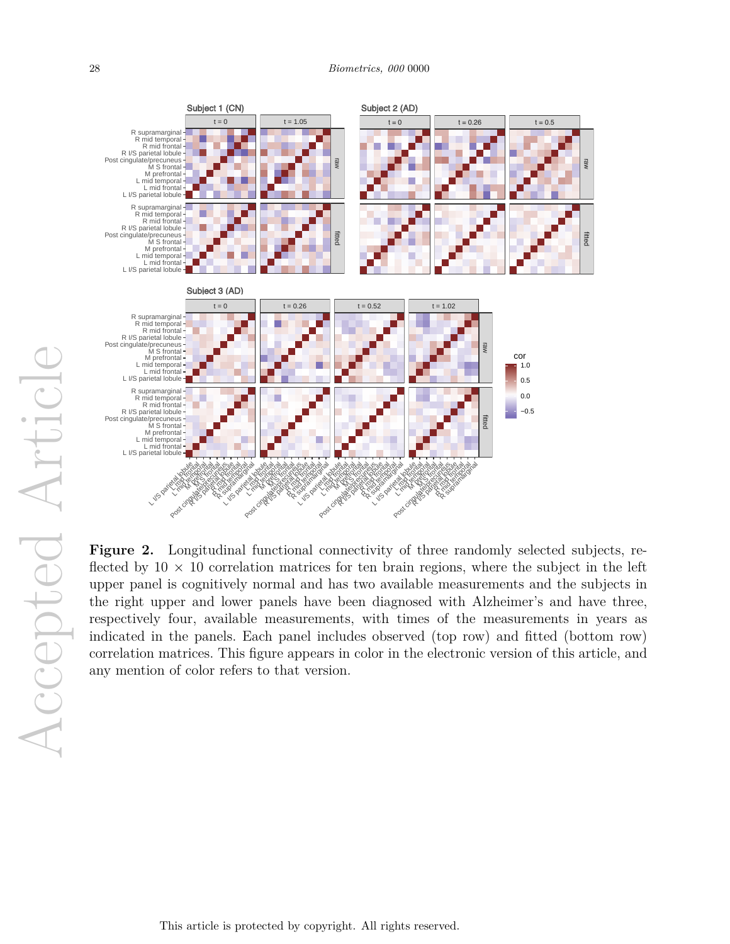

Figure 2. Longitudinal functional connectivity of three randomly selected subjects, reflected by  $10 \times 10$  correlation matrices for ten brain regions, where the subject in the left upper panel is cognitively normal and has two available measurements and the subjects in the right upper and lower panels have been diagnosed with Alzheimer's and have three, respectively four, available measurements, with times of the measurements in years as indicated in the panels. Each panel includes observed (top row) and fitted (bottom row) correlation matrices. This figure appears in color in the electronic version of this article, and any mention of color refers to that version.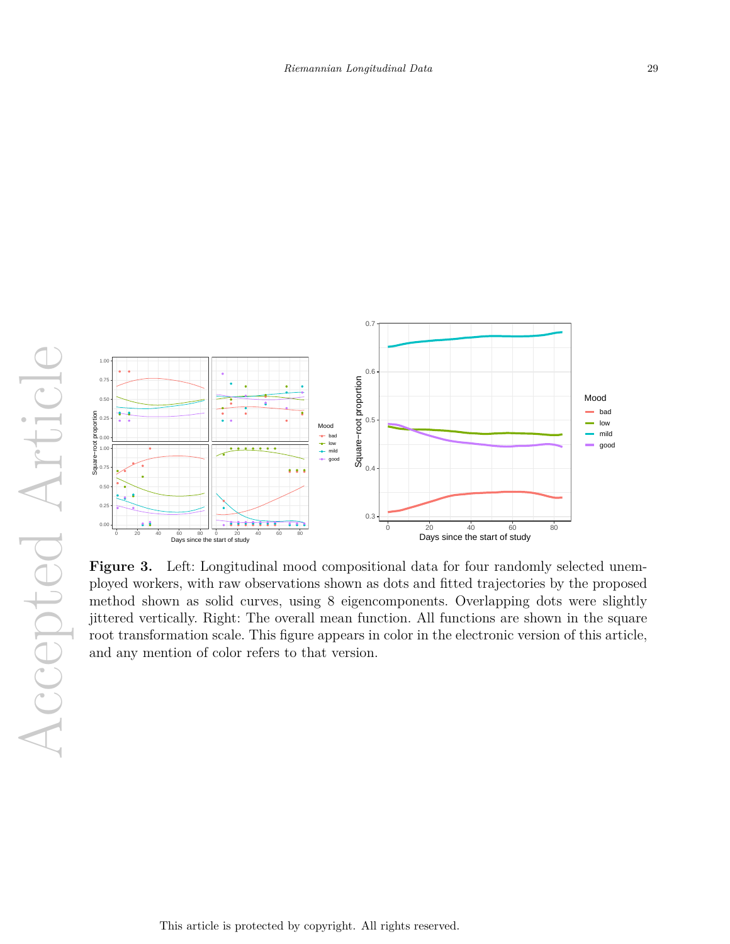

Figure 3. Left: Longitudinal mood compositional data for four randomly selected unemployed workers, with raw observations shown as dots and fitted trajectories by the proposed method shown as solid curves, using 8 eigencomponents. Overlapping dots were slightly jittered vertically. Right: The overall mean function. All functions are shown in the square root transformation scale. This figure appears in color in the electronic version of this article, and any mention of color refers to that version.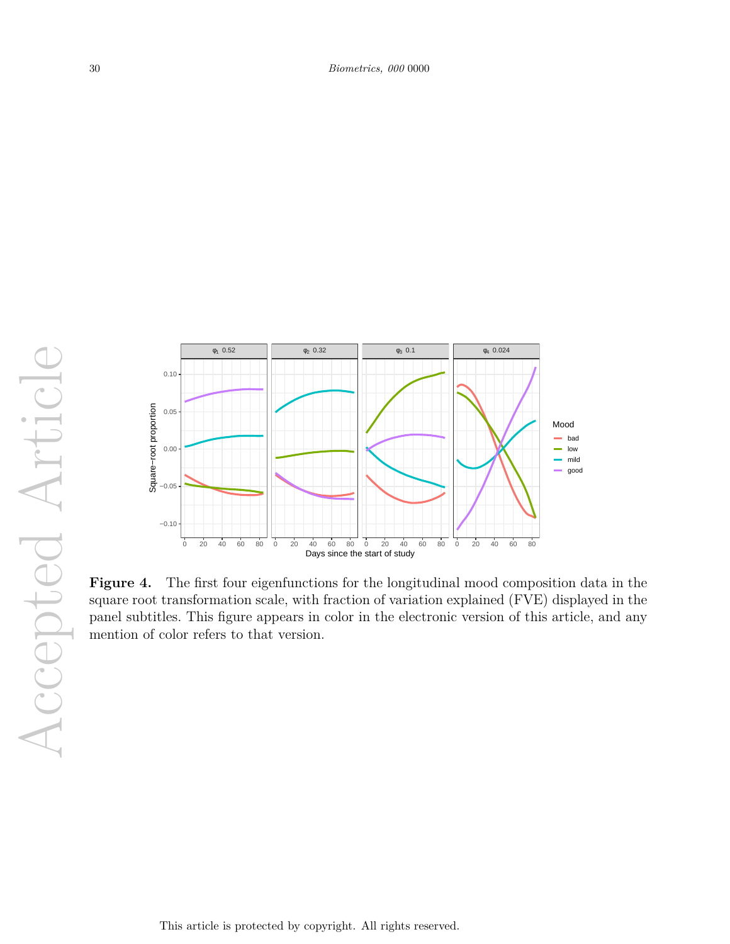

**Figure 4.** The first four eigenfunctions for the longitudinal mood composition data in the square root transformation scale, with fraction of variation explained (FVE) displayed in the panel subtitles. This figure appears in color in the electronic version of this article, and any mention of color refers to that version.